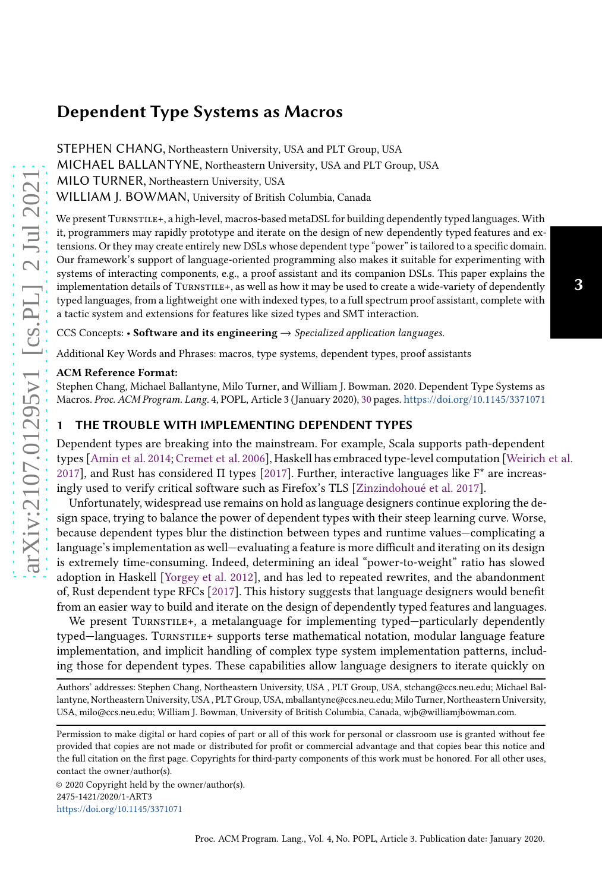STEPHEN CHANG, Northeastern University, USA and PLT Group, USA MICHAEL BALLANTYNE, Northeastern University, USA and PLT Group, USA MILO TURNER, Northeastern University, USA WILLIAM J. BOWMAN, University of British Columbia, Canada

We present TURNSTILE+, a high-level, macros-based metaDSL for building dependently typed languages. With it, programmers may rapidly prototype and iterate on the design of new dependently typed features and extensions. Or they may create entirely new DSLs whose dependent type "power" is tailored to a specific domain. Our framework's support of language-oriented programming also makes it suitable for experimenting with systems of interacting components, e.g., a proof assistant and its companion DSLs. This paper explains the implementation details of TURNSTILE+, as well as how it may be used to create a wide-variety of dependently typed languages, from a lightweight one with indexed types, to a full spectrum proof assistant, complete with a tactic system and extensions for features like sized types and SMT interaction.

3

CCS Concepts: • Software and its engineering  $\rightarrow$  Specialized application languages.

Additional Key Words and Phrases: macros, type systems, dependent types, proof assistants

#### ACM Reference Format:

Stephen Chang, Michael Ballantyne, Milo Turner, and William J. Bowman. 2020. Dependent Type Systems as Macros. Proc. ACM Program. Lang. 4, POPL, Article 3 (January 2020), [30](#page-29-0) pages. <https://doi.org/10.1145/3371071>

## 1 THE TROUBLE WITH IMPLEMENTING DEPENDENT TYPES

Dependent types are breaking into the mainstream. For example, Scala supports path-dependent types [\[Amin et al. 2014;](#page-27-0) [Cremet et al. 2006](#page-27-1)], Haskell has embraced type-level computation [\[Weirich et al.](#page-29-1) [2017\]](#page-29-1), and Rust has considered  $\Pi$  types [\[2017\]](#page-27-2). Further, interactive languages like  $F^*$  are increasingly used to verify critical software such as Firefox's TLS [\[Zinzindohoué et al. 2017](#page-29-2)].

Unfortunately, widespread use remains on hold as language designers continue exploring the design space, trying to balance the power of dependent types with their steep learning curve. Worse, because dependent types blur the distinction between types and runtime values—complicating a language's implementation as well—evaluating a feature is more difficult and iterating on its design is extremely time-consuming. Indeed, determining an ideal "power-to-weight" ratio has slowed adoption in Haskell [\[Yorgey et al. 2012\]](#page-29-3), and has led to repeated rewrites, and the abandonment of, Rust dependent type RFCs [\[2017\]](#page-27-2). This history suggests that language designers would benefit from an easier way to build and iterate on the design of dependently typed features and languages.

We present TURNSTILE+, a metalanguage for implementing typed—particularly dependently typed—languages. Turnstile+ supports terse mathematical notation, modular language feature implementation, and implicit handling of complex type system implementation patterns, including those for dependent types. These capabilities allow language designers to iterate quickly on

Authors' addresses: Stephen Chang, Northeastern University, USA , PLT Group, USA, stchang@ccs.neu.edu; Michael Ballantyne, Northeastern University, USA , PLT Group, USA, mballantyne@ccs.neu.edu; Milo Turner, Northeastern University, USA, milo@ccs.neu.edu; William J. Bowman, University of British Columbia, Canada, wjb@williamjbowman.com.

© 2020 Copyright held by the owner/author(s). 2475-1421/2020/1-ART3 <https://doi.org/10.1145/3371071>

Permission to make digital or hard copies of part or all of this work for personal or classroom use is granted without fee provided that copies are not made or distributed for profit or commercial advantage and that copies bear this notice and the full citation on the first page. Copyrights for third-party components of this work must be honored. For all other uses, contact the owner/author(s).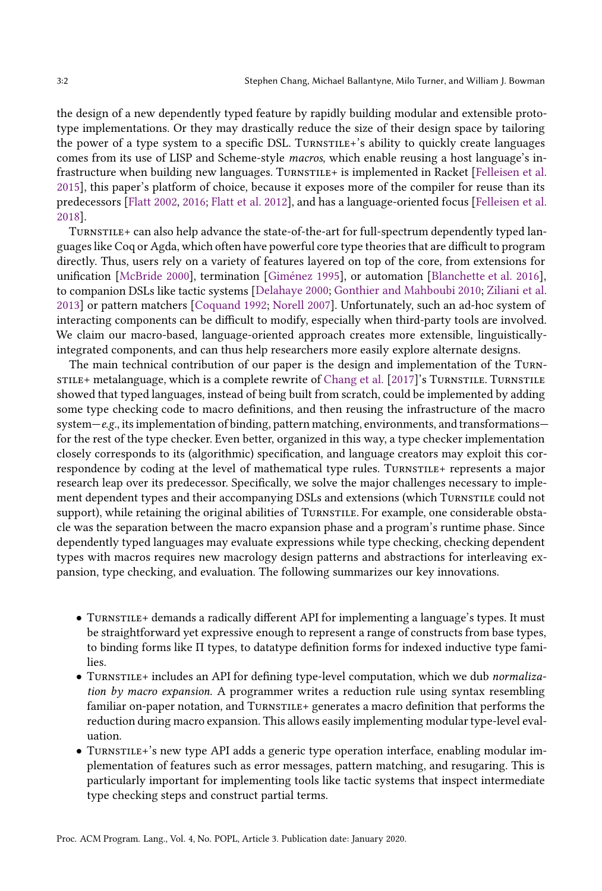the design of a new dependently typed feature by rapidly building modular and extensible prototype implementations. Or they may drastically reduce the size of their design space by tailoring the power of a type system to a specific DSL. TURNSTILE+'s ability to quickly create languages comes from its use of LISP and Scheme-style macros, which enable reusing a host language's in-frastructure when building new languages. TURNSTILE+ is implemented in Racket [\[Felleisen et al.](#page-27-3) [2015\]](#page-27-3), this paper's platform of choice, because it exposes more of the compiler for reuse than its predecessors [\[Flatt 2002,](#page-28-0) [2016;](#page-28-1) [Flatt et al. 2012\]](#page-28-2), and has a language-oriented focus [\[Felleisen et al.](#page-27-4) [2018\]](#page-27-4).

Turnstile+ can also help advance the state-of-the-art for full-spectrum dependently typed languages like Coq or Agda, which often have powerful core type theories that are difficult to program directly. Thus, users rely on a variety of features layered on top of the core, from extensions for unification [\[McBride 2000\]](#page-28-3), termination [\[Giménez 1995](#page-28-4)], or automation [\[Blanchette et al. 2016\]](#page-27-5), to companion DSLs like tactic systems [\[Delahaye 2000;](#page-27-6) [Gonthier and Mahboubi 2010;](#page-28-5) [Ziliani et al.](#page-29-4) [2013\]](#page-29-4) or pattern matchers [\[Coquand 1992;](#page-27-7) [Norell 2007\]](#page-28-6). Unfortunately, such an ad-hoc system of interacting components can be difficult to modify, especially when third-party tools are involved. We claim our macro-based, language-oriented approach creates more extensible, linguisticallyintegrated components, and can thus help researchers more easily explore alternate designs.

The main technical contribution of our paper is the design and implementation of the Turn-still the metalanguage, which is a complete rewrite of [Chang et al.](#page-27-8) [\[2017\]](#page-27-8)'s Turnstiller Turnstill showed that typed languages, instead of being built from scratch, could be implemented by adding some type checking code to macro definitions, and then reusing the infrastructure of the macro system—e.g., its implementation of binding, pattern matching, environments, and transformations for the rest of the type checker. Even better, organized in this way, a type checker implementation closely corresponds to its (algorithmic) specification, and language creators may exploit this correspondence by coding at the level of mathematical type rules. TURNSTILE+ represents a major research leap over its predecessor. Specifically, we solve the major challenges necessary to implement dependent types and their accompanying DSLs and extensions (which Turnstile could not support), while retaining the original abilities of TURNSTILE. For example, one considerable obstacle was the separation between the macro expansion phase and a program's runtime phase. Since dependently typed languages may evaluate expressions while type checking, checking dependent types with macros requires new macrology design patterns and abstractions for interleaving expansion, type checking, and evaluation. The following summarizes our key innovations.

- TURNSTILE+ demands a radically different API for implementing a language's types. It must be straightforward yet expressive enough to represent a range of constructs from base types, to binding forms like Π types, to datatype definition forms for indexed inductive type families.
- TURNSTILE+ includes an API for defining type-level computation, which we dub normalization by macro expansion. A programmer writes a reduction rule using syntax resembling familiar on-paper notation, and TURNSTILE+ generates a macro definition that performs the reduction during macro expansion. This allows easily implementing modular type-level evaluation.
- Turnstile+'s new type API adds a generic type operation interface, enabling modular implementation of features such as error messages, pattern matching, and resugaring. This is particularly important for implementing tools like tactic systems that inspect intermediate type checking steps and construct partial terms.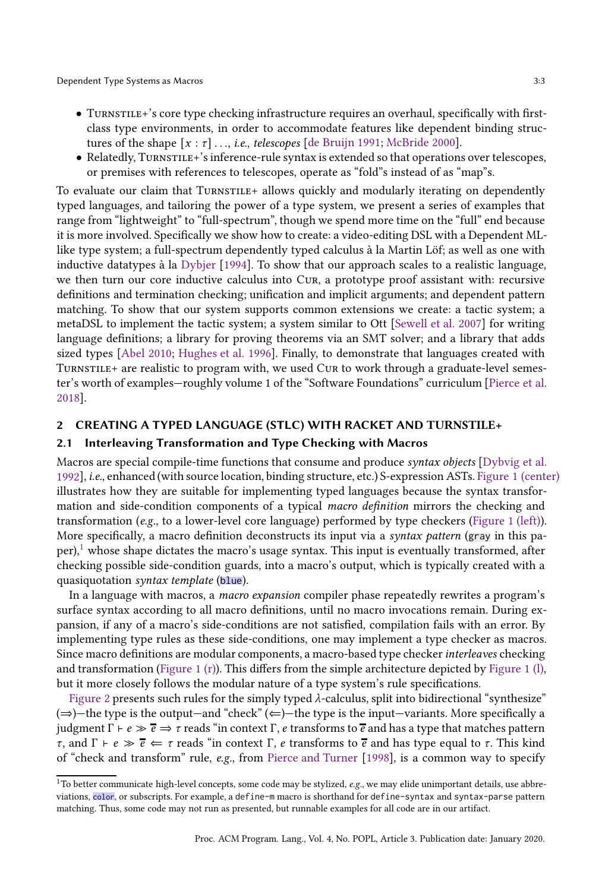- TURNSTILE+'s core type checking infrastructure requires an overhaul, specifically with firstclass type environments, in order to accommodate features like dependent binding structures of the shape  $[x : \tau] \ldots$ , *i.e.*, telescopes [\[de Bruijn 1991](#page-27-9); [McBride 2000\]](#page-28-3).
- Relatedly, Turnstille+'s inference-rule syntax is extended so that operations over telescopes, or premises with references to telescopes, operate as "fold"s instead of as "map"s.

To evaluate our claim that TURNSTILE+ allows quickly and modularly iterating on dependently typed languages, and tailoring the power of a type system, we present a series of examples that range from "lightweight" to "full-spectrum", though we spend more time on the "full" end because it is more involved. Specifically we show how to create: a video-editing DSL with a Dependent MLlike type system; a full-spectrum dependently typed calculus à la Martin Löf; as well as one with inductive datatypes à la [Dybjer](#page-27-10) [\[1994](#page-27-10)]. To show that our approach scales to a realistic language, we then turn our core inductive calculus into Cur, a prototype proof assistant with: recursive definitions and termination checking; unification and implicit arguments; and dependent pattern matching. To show that our system supports common extensions we create: a tactic system; a metaDSL to implement the tactic system; a system similar to Ott [\[Sewell et al. 2007\]](#page-28-7) for writing language definitions; a library for proving theorems via an SMT solver; and a library that adds sized types [\[Abel 2010;](#page-27-11) [Hughes et al. 1996\]](#page-28-8). Finally, to demonstrate that languages created with Turnstile+ are realistic to program with, we used Cur to work through a graduate-level semester's worth of examples—roughly volume 1 of the "Software Foundations" curriculum [\[Pierce et al.](#page-28-9) [2018\]](#page-28-9).

## 2 CREATING A TYPED LANGUAGE (STLC) WITH RACKET AND TURNSTILE+

## 2.1 Interleaving Transformation and Type Checking with Macros

Macros are special compile-time functions that consume and produce syntax objects [\[Dybvig et al.](#page-27-12) [1992](#page-27-12)], i.e., enhanced (with source location, binding structure, etc.) S-expression ASTs. [Figure 1 \(center\)](#page-3-0) illustrates how they are suitable for implementing typed languages because the syntax transformation and side-condition components of a typical macro definition mirrors the checking and transformation (e.g., to a lower-level core language) performed by type checkers [\(Figure 1 \(left\)\)](#page-3-0). More specifically, a macro definition deconstructs its input via a *syntax pattern* (gray in this paper), $\frac{1}{1}$  $\frac{1}{1}$  $\frac{1}{1}$  whose shape dictates the macro's usage syntax. This input is eventually transformed, after checking possible side-condition guards, into a macro's output, which is typically created with a quasiquotation syntax template (blue).

In a language with macros, a macro expansion compiler phase repeatedly rewrites a program's surface syntax according to all macro definitions, until no macro invocations remain. During expansion, if any of a macro's side-conditions are not satisfied, compilation fails with an error. By implementing type rules as these side-conditions, one may implement a type checker as macros. Since macro definitions are modular components, a macro-based type checker *interleaves* checking and transformation [\(Figure 1 \(r\)\)](#page-3-0). This differs from the simple architecture depicted by [Figure 1 \(l\),](#page-3-0) but it more closely follows the modular nature of a type system's rule specifications.

[Figure 2](#page-3-1) presents such rules for the simply typed  $\lambda$ -calculus, split into bidirectional "synthesize" ( $\Rightarrow$ )—the type is the output—and "check" ( $\Leftarrow$ )—the type is the input—variants. More specifically a judgment Γ +  $e \gg \overline{e}$  ⇒ τ reads "in context Γ,  $e$  transforms to  $\overline{e}$  and has a type that matches pattern  $τ$ , and  $Γ$  +  $e \gg \bar{e}$   $\Leftarrow$   $τ$  reads "in context Γ,  $e$  transforms to  $\bar{e}$  and has type equal to  $τ$ . This kind of "check and transform" rule, e.g., from [Pierce and Turner](#page-28-10) [\[1998\]](#page-28-10), is a common way to specify

<span id="page-2-0"></span> $1$ To better communicate high-level concepts, some code may be stylized, e.g., we may elide unimportant details, use abbreviations, color, or subscripts. For example, a define-m macro is shorthand for define-syntax and syntax-parse pattern matching. Thus, some code may not run as presented, but runnable examples for all code are in our artifact.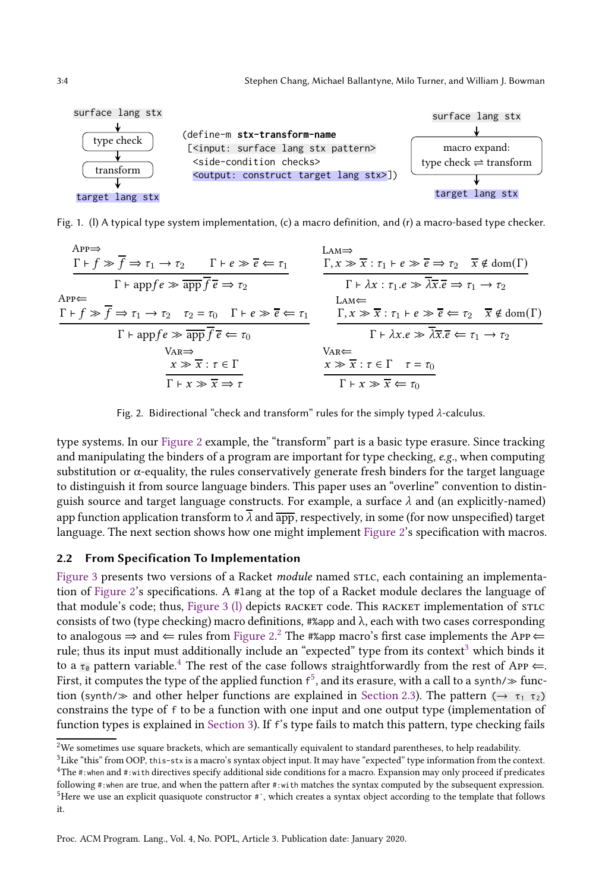<span id="page-3-0"></span>

<span id="page-3-1"></span>Fig. 1. (l) A typical type system implementation, (c) a macro definition, and (r) a macro-based type checker.

$$
\frac{\text{APP}}{\Gamma \vdash f \gg \overline{f} \Rightarrow \tau_1 \rightarrow \tau_2 \qquad \Gamma \vdash e \gg \overline{e} \Leftarrow \tau_1} \qquad \frac{\text{LAM} \Rightarrow}{\Gamma, x \gg \overline{x} : \tau_1 \vdash e \gg \overline{e} \Rightarrow \tau_2 \qquad \overline{x} \notin \text{dom}(\Gamma)}{\Gamma \vdash \text{appf}e \gg \overline{\text{app}} \overline{f} \overline{e} \Rightarrow \tau_2} \qquad \frac{\Gamma, x \gg \overline{x} : \tau_1 \vdash e \gg \overline{e} \Rightarrow \tau_2 \qquad \overline{x} \notin \text{dom}(\Gamma)}{\Gamma \vdash \lambda x : \tau_1 \cdot e \gg \overline{\lambda x} : \overline{e} \Rightarrow \tau_1 \rightarrow \tau_2}
$$
\n
$$
\frac{\text{LAM} \Leftarrow}{\Gamma \vdash f \gg \overline{f} \Rightarrow \tau_1 \rightarrow \tau_2 \qquad \tau_2 = \tau_0 \qquad \Gamma \vdash e \gg \overline{e} \Leftarrow \tau_1}{\Gamma \vdash x \gg \overline{x} : \tau_1 \vdash e \gg \overline{e} \Leftarrow \tau_2 \qquad \overline{x} \notin \text{dom}(\Gamma)}
$$
\n
$$
\frac{\text{LAM} \Leftarrow}{\Gamma \vdash x \Rightarrow \overline{x} : \tau_1 \vdash e \gg \overline{e} \Leftarrow \tau_2 \qquad \overline{x} \notin \text{dom}(\Gamma)}{\Gamma \vdash \lambda x \cdot e \gg \overline{\lambda x} : \overline{e} \Leftarrow \tau_1 \rightarrow \tau_2}
$$
\n
$$
\frac{\text{VAR} \Leftarrow}{\Gamma \vdash x \gg \overline{x} : \tau \in \Gamma \qquad \tau = \tau_0}{\Gamma \vdash x \gg \overline{x} \iff \tau_0}
$$



type systems. In our [Figure 2](#page-3-1) example, the "transform" part is a basic type erasure. Since tracking and manipulating the binders of a program are important for type checking,  $e.g.,$  when computing substitution or  $\alpha$ -equality, the rules conservatively generate fresh binders for the target language to distinguish it from source language binders. This paper uses an "overline" convention to distinguish source and target language constructs. For example, a surface  $\lambda$  and (an explicitly-named) app function application transform to  $\overline{\lambda}$  and  $\overline{\text{app}}$ , respectively, in some (for now unspecified) target language. The next section shows how one might implement [Figure 2'](#page-3-1)s specification with macros.

## 2.2 From Specification To Implementation

[Figure 3](#page-4-0) presents two versions of a Racket *module* named STLC, each containing an implementation of [Figure 2'](#page-3-1)s specifications. A #lang at the top of a Racket module declares the language of that module's code; thus, Figure 3 (1) depicts RACKET code. This RACKET implementation of STLC consists of two (type checking) macro definitions,  $\# \text{supp}$  and  $\lambda$ , each with two cases corresponding to analogous ⇒ and  $\Leftarrow$  rules from [Figure 2.](#page-3-1)<sup>[2](#page-3-2)</sup> The #%app macro's first case implements the App $\Leftarrow$ rule; thus its input must additionally include an "expected" type from its context<sup>[3](#page-3-3)</sup> which binds it to a  $\tau_0$  pattern variable.<sup>[4](#page-3-4)</sup> The rest of the case follows straightforwardly from the rest of App  $\Leftarrow$ . First, it computes the type of the applied function  $f^5$  $f^5$ , and its erasure, with a call to a synth/ $\gg$  function (synth/ $\gg$  and other helper functions are explained in [Section 2.3\)](#page-5-0). The pattern ( $\rightarrow \tau_1$ ,  $\tau_2$ ) constrains the type of f to be a function with one input and one output type (implementation of function types is explained in [Section 3\)](#page-6-0). If f's type fails to match this pattern, type checking fails

 $2$ We sometimes use square brackets, which are semantically equivalent to standard parentheses, to help readability.

<span id="page-3-2"></span><sup>3</sup>Like "this" from OOP, this-stx is a macro's syntax object input. It may have "expected" type information from the context.

<span id="page-3-5"></span><span id="page-3-4"></span><span id="page-3-3"></span><sup>4</sup>The #:when and #:with directives specify additional side conditions for a macro. Expansion may only proceed if predicates following #:when are true, and when the pattern after #:with matches the syntax computed by the subsequent expression. <sup>5</sup>Here we use an explicit quasiquote constructor #`, which creates a syntax object according to the template that follows it.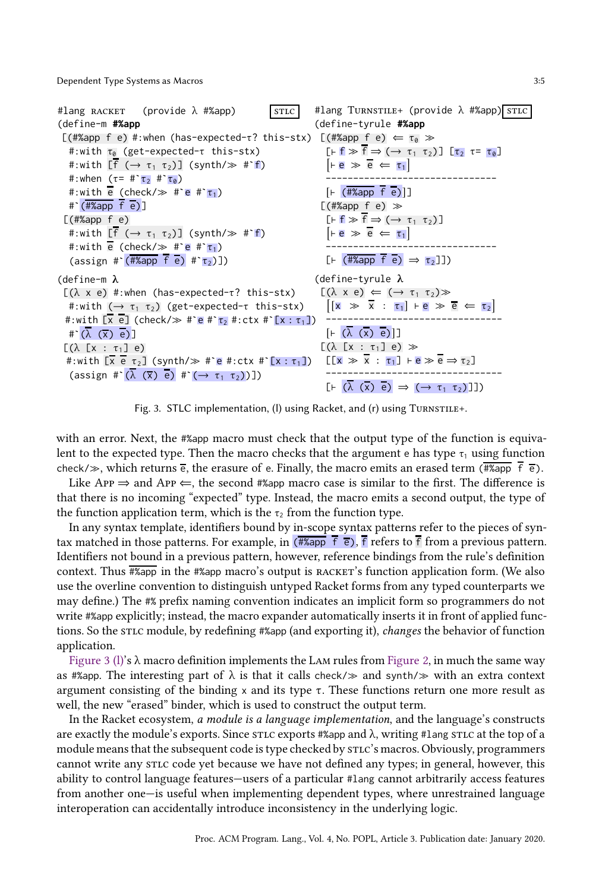<span id="page-4-0"></span>

Fig. 3. STLC implementation, (I) using Racket, and (r) using TURNSTILE+.

with an error. Next, the #%app macro must check that the output type of the function is equivalent to the expected type. Then the macro checks that the argument e has type  $\tau_1$  using function check/ $\gg$ , which returns  $\overline{e}$ , the erasure of e. Finally, the macro emits an erased term (#%app  $\overline{f}$   $\overline{e}$ ).

Like App  $\Rightarrow$  and App  $\Leftarrow$ , the second #%app macro case is similar to the first. The difference is that there is no incoming "expected" type. Instead, the macro emits a second output, the type of the function application term, which is the  $\tau_2$  from the function type.

In any syntax template, identifiers bound by in-scope syntax patterns refer to the pieces of syntax matched in those patterns. For example, in  $(\overline{\# \text{Kapp}} \ \overline{f} \ \overline{e})$ ,  $\overline{f}$  refers to  $\overline{f}$  from a previous pattern. Identifiers not bound in a previous pattern, however, reference bindings from the rule's definition context. Thus #%app in the #%app macro's output is racket's function application form. (We also use the overline convention to distinguish untyped Racket forms from any typed counterparts we may define.) The #% prefix naming convention indicates an implicit form so programmers do not write #%app explicitly; instead, the macro expander automatically inserts it in front of applied functions. So the stic module, by redefining #%app (and exporting it), *changes* the behavior of function application.

Figure 3 (1)'s  $\lambda$  macro definition implements the LAM rules from [Figure 2,](#page-3-1) in much the same way as #%app. The interesting part of  $\lambda$  is that it calls check/ $\gg$  and synth/ $\gg$  with an extra context argument consisting of the binding x and its type  $\tau$ . These functions return one more result as well, the new "erased" binder, which is used to construct the output term.

In the Racket ecosystem, a module is a language implementation, and the language's constructs are exactly the module's exports. Since stic exports #%app and  $\lambda$ , writing #lang stic at the top of a module means that the subsequent code is type checked by  $\text{strc's}\text{ macros}$ . Obviously, programmers cannot write any stic code yet because we have not defined any types; in general, however, this ability to control language features—users of a particular #lang cannot arbitrarily access features from another one—is useful when implementing dependent types, where unrestrained language interoperation can accidentally introduce inconsistency in the underlying logic.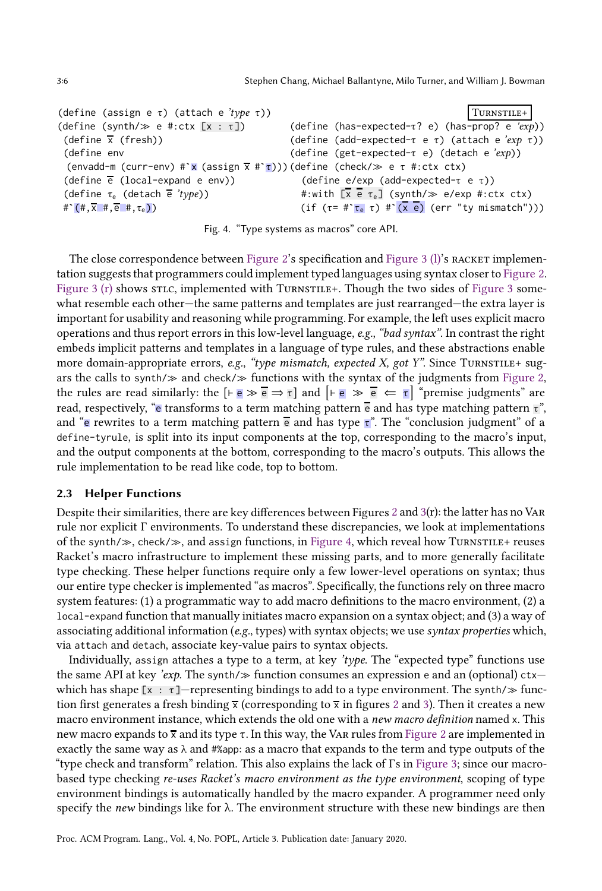```
(define (assign e τ) (attach e 'type τ))
(define (synth/\gg e #:ctx [x : \tau])
 (define \bar{x} (fresh))
 (define env
  (envadd-m (curr-env) #`x (assign x #`τ)))
(define (check/≫ e τ #:ctx ctx)
 (define e (local-expand e env))
 (define \tau_e (detach \bar{e} 'type))
 \# \left( \# , \overline{x} \# , \overline{e} \# , \tau_e \right)Turnstile+
                                                       (define (has-expected-τ? e) (has-prop? e 'exp))
                                                       (define (add-expected-τ e τ) (attach e 'exp τ))
                                                      (define (get-expected-τ e) (detach e 'exp))
                                                         (define e/exp (add-expected-τ e τ))
                                                         #:with [\overline{x} \ \overline{e} \ \tau_e] (synth/\gg e/exp #:ctx ctx)
                                                         (if (\tau = \#\uparrow \tau_e \tau) \# \uparrow (\overline{x} \bar{e}) (err "ty mismatch")))
```
Fig. 4. "Type systems as macros" core API.

The close correspondence between [Figure 2'](#page-3-1)s specification and Figure 3  $(1)$ 's racket implementation suggests that programmers could implement typed languages using syntax closer to [Figure 2.](#page-3-1) [Figure 3 \(r\)](#page-4-0) shows stic, implemented with TURNSTILE+. Though the two sides of [Figure 3](#page-4-0) somewhat resemble each other—the same patterns and templates are just rearranged—the extra layer is important for usability and reasoning while programming. For example, the left uses explicit macro operations and thus report errors in this low-level language,  $e.g.,$  "bad syntax". In contrast the right embeds implicit patterns and templates in a language of type rules, and these abstractions enable more domain-appropriate errors, e.g., "type mismatch, expected X, got Y". Since TURNSTILE+ sugars the calls to synth/ $\gg$  and check/ $\gg$  functions with the syntax of the judgments from [Figure 2,](#page-3-1) the rules are read similarly: the  $[េ \cdot e \gg \overline{e} \Rightarrow \tau]$  and  $[ \cdot \overline{e} \gg \overline{e} \Leftarrow \tau]$  "premise judgments" are read, respectively, "e transforms to a term matching pattern  $\overline{e}$  and has type matching pattern  $\overline{\tau}$ ", and "e rewrites to a term matching pattern  $\overline{e}$  and has type  $\overline{\tau}$ ". The "conclusion judgment" of a define-tyrule, is split into its input components at the top, corresponding to the macro's input, and the output components at the bottom, corresponding to the macro's outputs. This allows the rule implementation to be read like code, top to bottom.

### <span id="page-5-0"></span>2.3 Helper Functions

Despite their similarities, there are key differences between Figures [2](#page-3-1) and  $3(r)$  $3(r)$ : the latter has no VAR rule nor explicit Γ environments. To understand these discrepancies, we look at implementations of the synth/≫, check/≫, and assign functions, in [Figure 4,](#page-5-1) which reveal how Turnstile+ reuses Racket's macro infrastructure to implement these missing parts, and to more generally facilitate type checking. These helper functions require only a few lower-level operations on syntax; thus our entire type checker is implemented "as macros". Specifically, the functions rely on three macro system features: (1) a programmatic way to add macro definitions to the macro environment, (2) a local-expand function that manually initiates macro expansion on a syntax object; and (3) a way of associating additional information (e.g., types) with syntax objects; we use syntax properties which, via attach and detach, associate key-value pairs to syntax objects.

Individually, assign attaches a type to a term, at key 'type. The "expected type" functions use the same API at key 'exp. The synth/ $\gg$  function consumes an expression e and an (optional) ctx which has shape  $[x : \tau]$ —representing bindings to add to a type environment. The synth/ $\gg$  function first generates a fresh binding  $\overline{x}$  (corresponding to  $\overline{x}$  in figures [2](#page-3-1) and [3\)](#page-4-0). Then it creates a new macro environment instance, which extends the old one with a *new macro definition* named x. This new macro expands to  $\bar{x}$  and its type  $\tau$ . In this way, the VAR rules from [Figure 2](#page-3-1) are implemented in exactly the same way as  $\lambda$  and #%app: as a macro that expands to the term and type outputs of the "type check and transform" relation. This also explains the lack of Γs in [Figure 3;](#page-4-0) since our macrobased type checking re-uses Racket's macro environment as the type environment, scoping of type environment bindings is automatically handled by the macro expander. A programmer need only specify the *new* bindings like for  $\lambda$ . The environment structure with these new bindings are then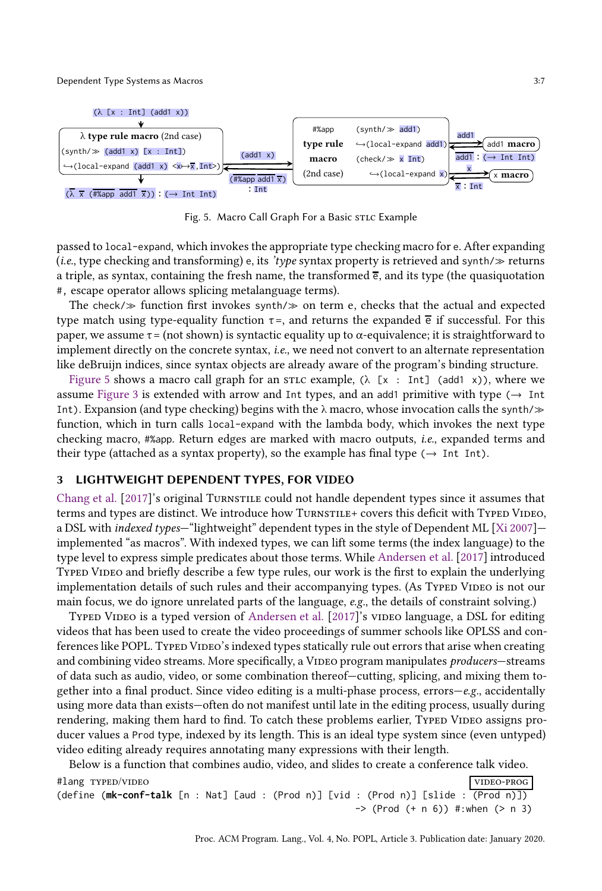<span id="page-6-1"></span>

Fig. 5. Macro Call Graph For a Basic stLc Example

passed to local-expand, which invokes the appropriate type checking macro for e. After expanding (*i.e.*, type checking and transforming) e, its 'type syntax property is retrieved and synth/ $\gg$  returns a triple, as syntax, containing the fresh name, the transformed  $\overline{e}$ , and its type (the quasiquotation #, escape operator allows splicing metalanguage terms).

The check/ $\gg$  function first invokes synth/ $\gg$  on term e, checks that the actual and expected type match using type-equality function  $\tau$ =, and returns the expanded  $\overline{e}$  if successful. For this paper, we assume  $\tau =$  (not shown) is syntactic equality up to  $\alpha$ -equivalence; it is straightforward to implement directly on the concrete syntax, i.e., we need not convert to an alternate representation like deBruijn indices, since syntax objects are already aware of the program's binding structure.

[Figure 5](#page-6-1) shows a macro call graph for an stic example,  $(\lambda \, [x : Int] \, (add1 \, x))$ , where we assume [Figure 3](#page-4-0) is extended with arrow and Int types, and an add1 primitive with type  $\rightarrow$  Int Int). Expansion (and type checking) begins with the  $\lambda$  macro, whose invocation calls the synth/ $\gg$ function, which in turn calls local-expand with the lambda body, which invokes the next type checking macro, #%app. Return edges are marked with macro outputs, i.e., expanded terms and their type (attached as a syntax property), so the example has final type ( $\rightarrow$  Int Int).

## <span id="page-6-0"></span>3 LIGHTWEIGHT DEPENDENT TYPES, FOR VIDEO

[Chang et al.](#page-27-8) [\[2017\]](#page-27-8)'s original Turnstile could not handle dependent types since it assumes that terms and types are distinct. We introduce how TurnsTille+ covers this deficit with Typed Video, a DSL with indexed types—"lightweight" dependent types in the style of Dependent ML [\[Xi 2007\]](#page-29-5) implemented "as macros". With indexed types, we can lift some terms (the index language) to the type level to express simple predicates about those terms. While [Andersen et al.](#page-27-13) [\[2017\]](#page-27-13) introduced Typed Video and briefly describe a few type rules, our work is the first to explain the underlying implementation details of such rules and their accompanying types. (As Typen VIDEO is not our main focus, we do ignore unrelated parts of the language, e.g., the details of constraint solving.)

TYPED VIDEO is a typed version of [Andersen et al.](#page-27-13) [\[2017\]](#page-27-13)'s vIDEO language, a DSL for editing videos that has been used to create the video proceedings of summer schools like OPLSS and conferences like POPL. TYPED VIDEO's indexed types statically rule out errors that arise when creating and combining video streams. More specifically, a VIDEO program manipulates *producers*—streams of data such as audio, video, or some combination thereof—cutting, splicing, and mixing them together into a final product. Since video editing is a multi-phase process, errors— $e.g.,$  accidentally using more data than exists—often do not manifest until late in the editing process, usually during rendering, making them hard to find. To catch these problems earlier, Typed VIDEO assigns producer values a Prod type, indexed by its length. This is an ideal type system since (even untyped) video editing already requires annotating many expressions with their length.

Below is a function that combines audio, video, and slides to create a conference talk video. #lang typed/video video-prog

| $\pi$ lang lired video                                                                                  |  |  |  |  |                                  |  | VIDEUTRUU |  |
|---------------------------------------------------------------------------------------------------------|--|--|--|--|----------------------------------|--|-----------|--|
| $(\text{define } (\text{mk-conf-talk } [n : Nat] [aud : (Prod n)] [vid : (Prod n)] [slide : (Prod n)])$ |  |  |  |  |                                  |  |           |  |
|                                                                                                         |  |  |  |  | -> (Prod (+ n 6)) #:when (> n 3) |  |           |  |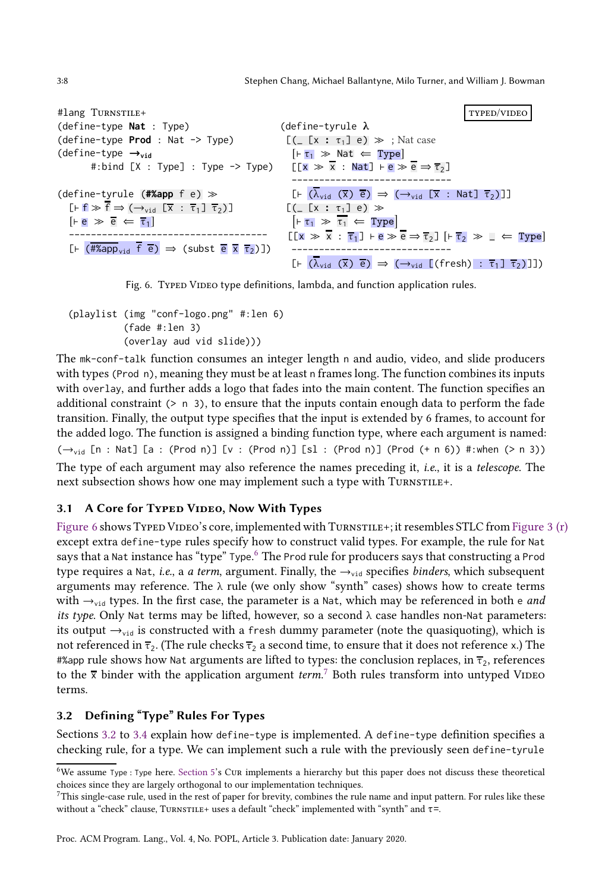<span id="page-7-0"></span>3:8 Stephen Chang, Michael Ballantyne, Milo Turner, and William J. Bowman

```
#lang TURNSTILE+
(define-type Nat : Type)
(define-type Prod : Nat -> Type)
(define-type →vid
            #:bind [X : Type] : Type -> Type)
(define-tyrule (#%app f e) ≫
    \lbrack \vdash f \gg f \Rightarrow (\rightarrow_{\text{vid}} \lbrack \overline{x} : \overline{\tau}_1 \rbrack \overline{\tau}_2) \rbrack[He \gg \overline{e} \Leftarrow \overline{\tau}_1]------------------------------------
    [F \overline{H\text{Kapp}}_{vid} \overline{f} \overline{e}] \Rightarrow (subst \overline{e} \overline{x} \overline{\tau_2})])
                                                                                                                                                            typed/video
                                                                                     (define-tyrule λ
                                                                                      [([ [x : \tau_1] e) \gg ; Nat case
                                                                                        [ F \tau_1 \gg \text{Nat} \Leftarrow \text{Type} ][[x] \gg x : Nat] ⊢ e \gg e \Rightarrow \overline{\tau}_2]-----------------------------
                                                                                        [F \ (\overline{\lambda}_{vid} \ (\overline{x}) \ \overline{e}) \Rightarrow (\rightarrow_{vid} \ [\overline{x} \ : \ Nat] \ \overline{\tau}_2)][( [(x : \tau_1] e) \gg\boxed{\vdash \tau_1 \gg \tau_1 \Leftarrow \text{Type}}[[\overline{x} \gg \overline{x} : \overline{\tau_1}] \vdash e \gg \overline{e} \Rightarrow \overline{\tau_2}] [ \vdash \overline{\tau_2} \gg \bot \Leftarrow Type
                                                                                        -----------------------------
                                                                                        [F (\lambda_{\text{vid}} (\overline{x}) \overline{e}) \Rightarrow (\rightarrow_{\text{vid}} [(\text{fresh}) : \overline{\tau}_1] \overline{\tau}_2)]]
```
Fig. 6. TYPED VIDEO type definitions, lambda, and function application rules.

(playlist (img "conf-logo.png" #:len 6) (fade #:len 3) (overlay aud vid slide)))

The mk-conf-talk function consumes an integer length n and audio, video, and slide producers with types (Prod n), meaning they must be at least n frames long. The function combines its inputs with overlay, and further adds a logo that fades into the main content. The function specifies an additional constraint  $(> n 3)$ , to ensure that the inputs contain enough data to perform the fade transition. Finally, the output type specifies that the input is extended by 6 frames, to account for the added logo. The function is assigned a binding function type, where each argument is named:  $(\rightarrow_{vid}$  [n : Nat] [a : (Prod n)] [v : (Prod n)] [sl : (Prod n)] (Prod  $(+ n 6)$ ) #:when (> n 3)) The type of each argument may also reference the names preceding it, i.e., it is a telescope. The next subsection shows how one may implement such a type with TURNSTILE+.

# 3.1 A Core for TYPED VIDEO, Now With Types

[Figure 6](#page-7-0) shows TYPED VIDEO's core, implemented with TURNSTILE+; it resembles STLC from [Figure 3 \(r\)](#page-4-0) except extra define-type rules specify how to construct valid types. For example, the rule for Nat says that a Nat instance has "type" Type.<sup>[6](#page-7-1)</sup> The Prod rule for producers says that constructing a Prod type requires a Nat, i.e., a a term, argument. Finally, the  $\rightarrow$ <sub>vid</sub> specifies binders, which subsequent arguments may reference. The  $\lambda$  rule (we only show "synth" cases) shows how to create terms with  $\rightarrow$ <sub>vid</sub> types. In the first case, the parameter is a Nat, which may be referenced in both e *and* its type. Only Nat terms may be lifted, however, so a second  $\lambda$  case handles non-Nat parameters: its output  $\rightarrow$ <sub>vid</sub> is constructed with a fresh dummy parameter (note the quasiquoting), which is not referenced in  $\overline{\tau}_2$ . (The rule checks  $\overline{\tau}_2$  a second time, to ensure that it does not reference x.) The #%app rule shows how Nat arguments are lifted to types: the conclusion replaces, in  $\overline{\tau}_2$ , references to the  $\overline{x}$  binder with the application argument term.<sup>[7](#page-7-2)</sup> Both rules transform into untyped VIDEO terms.

# <span id="page-7-3"></span>3.2 Defining "Type" Rules For Types

Sections [3.2](#page-7-3) to [3.4](#page-9-0) explain how define-type is implemented. A define-type definition specifies a checking rule, for a type. We can implement such a rule with the previously seen define-tyrule

<span id="page-7-1"></span><sup>6</sup>We assume Type : Type here. [Section 5'](#page-17-0)s Cur implements a hierarchy but this paper does not discuss these theoretical choices since they are largely orthogonal to our implementation techniques.

<span id="page-7-2"></span> $7$ This single-case rule, used in the rest of paper for brevity, combines the rule name and input pattern. For rules like these without a "check" clause, TURNSTILE+ uses a default "check" implemented with "synth" and  $\tau$ =.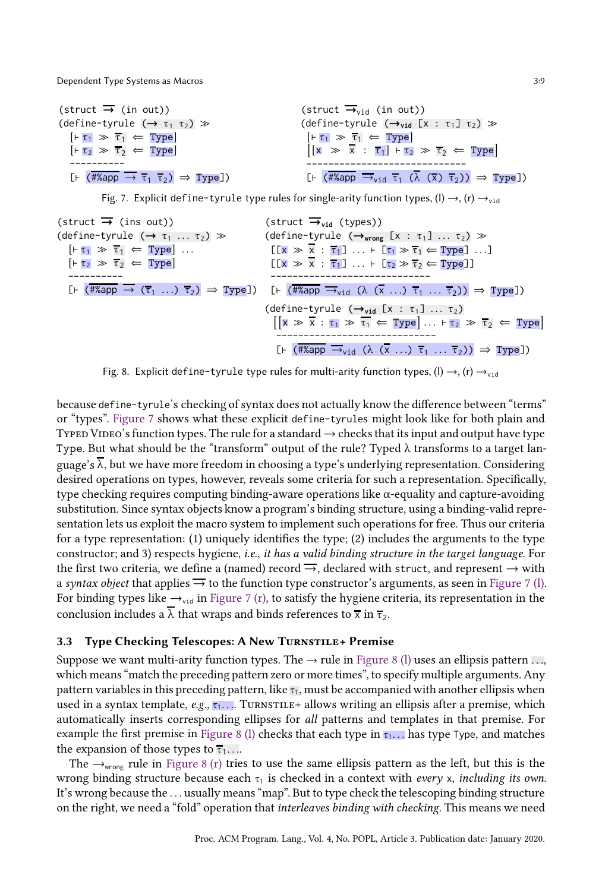<span id="page-8-0"></span>

| $(struct \rightarrow (in out))$                                                            | (struct $\overline{\rightarrow}_{\text{vid}}$ (in out))                                                                                                     |
|--------------------------------------------------------------------------------------------|-------------------------------------------------------------------------------------------------------------------------------------------------------------|
| (define-tyrule $(\rightarrow \tau_1 \tau_2) \gg$                                           | $(detine-tyrule (\rightarrow_{vid} [x : \tau_1] \tau_2) \gg$                                                                                                |
| $\lbrack \vdash \tau_1 \rangle \gg \tau_1 \Leftarrow \text{Type}$                          | $\lvert \vdash \tau_1 \rangle \gg \tau_1 \Leftrightarrow \text{Type}$                                                                                       |
| $\lbrack \vdash \tau_2 \rangle \gg \tau_2 \Leftarrow$ Type                                 | $\lceil x \rangle \gg \overline{x} : \overline{\tau_1} \rceil + \tau_2 \gg \overline{\tau_2} \Leftarrow \text{Type}$                                        |
|                                                                                            |                                                                                                                                                             |
| [ $\vdash$ (#%app $\rightarrow \overline{\tau_1} \overline{\tau_2}$ ) $\Rightarrow$ Type]) | [ $\vdash$ (#%app $\rightarrow$ <sub>vid</sub> $\overline{\tau}_1$ ( $\overline{\lambda}$ ( $\overline{\chi}$ ) $\overline{\tau}_2$ )) $\Rightarrow$ Type]) |

Fig. 7. Explicit define-tyrule type rules for single-arity function types, (I)  $\rightarrow$ , (r)  $\rightarrow$ <sub>vid</sub>

<span id="page-8-1"></span>

| (struct $\overline{\rightarrow}$ (ins out))                                                           | (struct $\overline{\rightarrow}$ via (types))                                                                                     |                                                                                                         |    |
|-------------------------------------------------------------------------------------------------------|-----------------------------------------------------------------------------------------------------------------------------------|---------------------------------------------------------------------------------------------------------|----|
| (define-tyrule ( $\rightarrow \tau_1 \rightarrow \overline{\tau}_1 \leftarrow$ Type]                  | (define-tyrule ( $\rightarrow$ wrong [x : $\tau_1$ ] ... $\tau_2$ ) $\gg$<br>\n $[F\tau_1 \gg \overline{\tau}_1 \leftarrow$ Type] | (I[x $\gg \overline{x} : \overline{\tau}_1$ ] ... $\left[\tau_1 \gg \overline{\tau}_1 \leftarrow$ Type] | ]] |
| [x $\gg \overline{x} : \overline{\tau}_1$ ] ... $\left[\tau_2 \gg \overline{\tau}_2 \leftarrow$ Type] | ]]                                                                                                                                |                                                                                                         |    |
| 1. (Example 11)                                                                                       | [x $\gg \overline{x} : \overline{\tau}_1$ ] ... $\left[\tau_2 \gg \overline{\tau}_2 \leftarrow$ Type]                             |                                                                                                         |    |
| [x $\gg \overline{x} : \overline{\tau}_1$ ] ... $\left[\tau_2 \gg \overline{\tau}_2 \leftarrow$ Type] | ]]                                                                                                                                |                                                                                                         |    |
| [x $\gg \overline{x} : \overline{\tau}_1$ ... $\overline{\tau}_2$ )] $\Rightarrow$ Type]              |                                                                                                                                   |                                                                                                         |    |
| [x $\gg \overline{x} : \tau_1 \gg \overline{\tau}_1 \leftarrow$ Type]                                 | ]]                                                                                                                                |                                                                                                         |    |
| [x $\gg \overline{x} : \tau_1 \gg \overline{\tau}_1 \leftarrow$ Type]                                 | ]]                                                                                                                                |                                                                                                         |    |
| [x $\gg \overline{x} : \tau_1 \gg \overline{\tau}_1 \leftarrow$ Type]                                 | ]]                                                                                                                                |                                                                                                         |    |
| [x $\overline{x} : \overline{x}_1 \Rightarrow \overline{x}_1 \leftarrow$ Type]                        | ]]                                                                                                                                |                                                                                                         |    |
| [x $\overline{x} : \overline{x}_1 \Rightarrow \overline{x}_1 \leftarrow$ Type]                        | ]]                                                                                                                                |                                                                                                         |    |

Fig. 8. Explicit define-tyrule type rules for multi-arity function types, (I)  $\rightarrow$ , (r)  $\rightarrow$ <sub>vid</sub>

because define-tyrule's checking of syntax does not actually know the difference between "terms" or "types". [Figure 7](#page-8-0) shows what these explicit define-tyrules might look like for both plain and TYPED VIDEO's function types. The rule for a standard  $\rightarrow$  checks that its input and output have type Type. But what should be the "transform" output of the rule? Typed  $\lambda$  transforms to a target language's  $\overline{\lambda}$ , but we have more freedom in choosing a type's underlying representation. Considering desired operations on types, however, reveals some criteria for such a representation. Specifically, type checking requires computing binding-aware operations like α-equality and capture-avoiding substitution. Since syntax objects know a program's binding structure, using a binding-valid representation lets us exploit the macro system to implement such operations for free. Thus our criteria for a type representation: (1) uniquely identifies the type; (2) includes the arguments to the type constructor; and 3) respects hygiene, i.e., it has a valid binding structure in the target language. For the first two criteria, we define a (named) record  $\rightarrow$ , declared with struct, and represent  $\rightarrow$  with a syntax object that applies  $\rightarrow$  to the function type constructor's arguments, as seen in Figure 7 (1). For binding types like  $\rightarrow$ <sub>vid</sub> in [Figure 7 \(r\),](#page-8-0) to satisfy the hygiene criteria, its representation in the conclusion includes a  $\overline{\lambda}$  that wraps and binds references to  $\overline{x}$  in  $\overline{\tau}_2$ .

## <span id="page-8-2"></span>3.3 Type Checking Telescopes: A New Turnstile+ Premise

Suppose we want multi-arity function types. The  $\rightarrow$  rule in [Figure 8 \(l\)](#page-8-1) uses an ellipsis pattern . . ., which means "match the preceding pattern zero or more times", to specify multiple arguments. Any pattern variables in this preceding pattern, like  $\tau_1$ , must be accompanied with another ellipsis when used in a syntax template,  $e.g., \tau_1, \ldots$  Turnstille+ allows writing an ellipsis after a premise, which automatically inserts corresponding ellipses for all patterns and templates in that premise. For example the first premise in [Figure 8 \(l\)](#page-8-1) checks that each type in  $\tau_1$ ... has type Type, and matches the expansion of those types to  $\overline{\tau_1}$ ....

The  $\rightarrow_{wrong}$  rule in [Figure 8 \(r\)](#page-8-1) tries to use the same ellipsis pattern as the left, but this is the wrong binding structure because each  $\tau_1$  is checked in a context with *every* x, *including its own*. It's wrong because the . . . usually means "map". But to type check the telescoping binding structure on the right, we need a "fold" operation that interleaves binding with checking. This means we need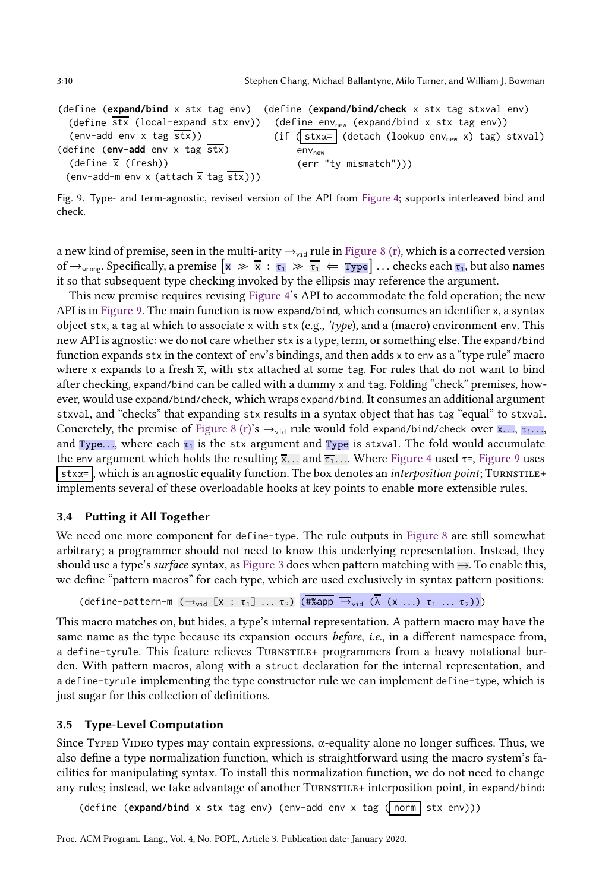<span id="page-9-1"></span>(define (**expand/bind** x stx tag env) (define (**expand/bind/check** x stx tag stxval env) (define stx (local-expand stx env))  $(\text{env-add env x tag } \overline{\text{stx}}))$ (define (**env-add** env x tag stx) (define x (fresh)) (env-add-m env x (attach  $\overline{x}$  tag  $\overline{stx}$ ))) (define  $env_{new}$  (expand/bind x stx tag env)) (if ( stx $\alpha$ = (detach (lookup env<sub>new</sub> x) tag) stxval)  $env<sub>new</sub>$ (err "ty mismatch")))

Fig. 9. Type- and term-agnostic, revised version of the API from Figure [4;](#page-5-1) supports interleaved bind and check.

a new kind of premise, seen in the multi-arity  $\rightarrow$ <sub>vid</sub> rule in [Figure 8 \(r\),](#page-8-1) which is a corrected version of  $\rightarrow$ <sub>wrong</sub>. Specifically, a premise  $\boxed{x} \gg \overline{x} : \overline{t_1} \gg \overline{t_1} \Leftarrow \boxed{Type}$  ... checks each  $\overline{t_1}$ , but also names it so that subsequent type checking invoked by the ellipsis may reference the argument.

This new premise requires revising [Figure 4'](#page-5-1)s API to accommodate the fold operation; the new API is in [Figure 9.](#page-9-1) The main function is now expand/bind, which consumes an identifier x, a syntax object stx, a tag at which to associate x with stx (e.g., 'type), and a (macro) environment env. This new API is agnostic: we do not care whether stx is a type, term, or something else. The expand/bind function expands stx in the context of env's bindings, and then adds x to env as a "type rule" macro where x expands to a fresh  $\overline{x}$ , with stx attached at some tag. For rules that do not want to bind after checking, expand/bind can be called with a dummy x and tag. Folding "check" premises, however, would use expand/bind/check, which wraps expand/bind. It consumes an additional argument stxval, and "checks" that expanding stx results in a syntax object that has tag "equal" to stxval. Concretely, the premise of [Figure 8 \(r\)'](#page-8-1)s  $\rightarrow$ <sub>vid</sub> rule would fold expand/bind/check over x...,  $\tau_1$ ..., and Type..., where each  $\tau_1$  is the stx argument and Type is stxval. The fold would accumulate the env argument which holds the resulting  $\bar{x}$ ... and  $\bar{t}$ ,... Where [Figure 4](#page-5-1) used  $\tau$ =, [Figure 9](#page-9-1) uses  $stx\alpha=$ , which is an agnostic equality function. The box denotes an *interposition point*; TurnsTILE+ implements several of these overloadable hooks at key points to enable more extensible rules.

#### <span id="page-9-0"></span>3.4 Putting it All Together

We need one more component for define-type. The rule outputs in [Figure 8](#page-8-1) are still somewhat arbitrary; a programmer should not need to know this underlying representation. Instead, they should use a type's surface syntax, as [Figure 3](#page-4-0) does when pattern matching with →. To enable this, we define "pattern macros" for each type, which are used exclusively in syntax pattern positions:

(define-pattern-m  $(\rightarrow_{\text{vid}} [x : \tau_1] \dots \tau_2)$   $(\overline{\# \text{Kapp}} \rightarrow_{\text{vid}} (\lambda (x \dots) \tau_1 \dots \tau_2)))$ 

This macro matches on, but hides, a type's internal representation. A pattern macro may have the same name as the type because its expansion occurs *before*, *i.e.*, in a different namespace from, a define-tyrule. This feature relieves TURNSTILE+ programmers from a heavy notational burden. With pattern macros, along with a struct declaration for the internal representation, and a define-tyrule implementing the type constructor rule we can implement define-type, which is just sugar for this collection of definitions.

#### 3.5 Type-Level Computation

Since Typed Video types may contain expressions,  $\alpha$ -equality alone no longer suffices. Thus, we also define a type normalization function, which is straightforward using the macro system's facilities for manipulating syntax. To install this normalization function, we do not need to change any rules; instead, we take advantage of another TURNSTILE+ interposition point, in expand/bind:

(define (expand/bind x stx tag env) (env-add env x tag (norm stx env)))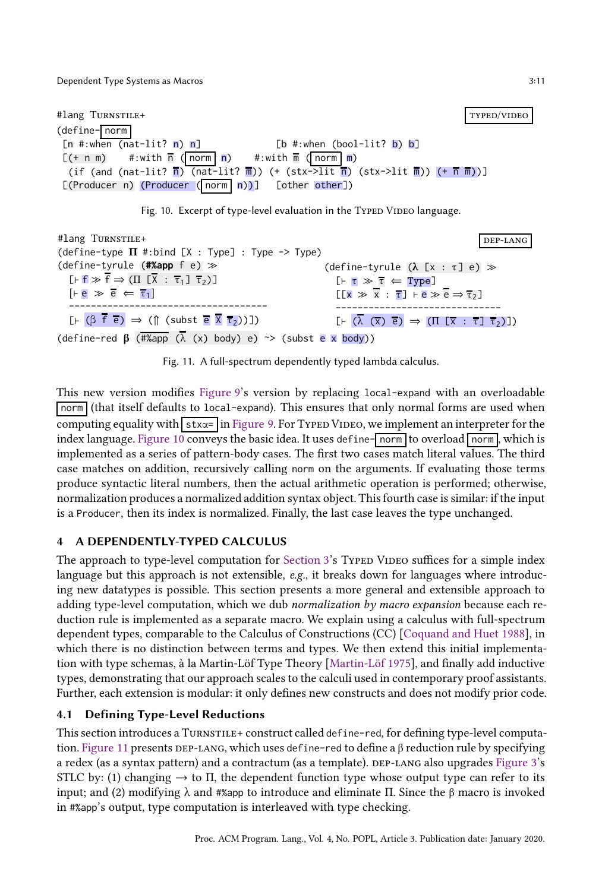<span id="page-10-0"></span>#lang Turnstile+ typed/video (define- norm  $[n \#:\text{when (nat-lit? n) n}]$  [b  $\#:\text{when (bool-lit? b) b}$ ]  $[(+ n m)$  #:with  $\overline{n}$  (norm n) #:with  $\overline{m}$  (norm m) (if (and (nat-lit?  $\overline{n}$ ) (nat-lit?  $\overline{n}$ )) (+ (stx->lit  $\overline{n}$ ) (stx->lit  $\overline{n}$ )) (+  $\overline{n}$  $\overline{m}$ ))] [(Producer n) (Producer ( norm n))] [other other])



```
#lang TURNSTILE+
(define-type \Pi #:bind [X : Type] : Type -> Type)
(define-tyrule (#%app f e) ≫
     \left[\begin{matrix} \vdash \mathbf{f} \end{matrix}\right] \Rightarrow \left(\begin{matrix} \Pi \end{matrix}\right] \left[\begin{matrix} \overline{X} \\ \overline{Y} \end{matrix}\right] \left[\begin{matrix} \overline{\tau}_1 \end{matrix}\right] \left[\begin{matrix} \overline{\tau}_2 \end{matrix}\right][-e \gg \overline{e} \Leftarrow \overline{\tau}_1]------------------------------------
     [F \times (\beta \overline{f} \overline{e}) \Rightarrow (\hat{f} \times (\beta \overline{f} \overline{e}) \overline{e})dep-lang
                                                                                                                                            (define-tyrule (λ [x : τ] e) ≫
                                                                                                                                                  [⊢ τ ≫ τ ⇐ Type]
                                                                                                                                                  [[x \gg x : \overline{\tau}] ⊢ e \gg e \Rightarrow \overline{\tau_2}]
                                                                                                                                                  ------------------------------
                                                                                                                                                  \left[\begin{matrix}F\end{matrix}\right] \left(\overline{\lambda} \right] \left(\overline{\lambda} \right) \overline{e} \left(\begin{matrix}I\end{matrix}\right] \left(\begin{matrix}I\end{matrix}\right] \left(\begin{matrix}T\end{matrix}\right] \left(\begin{matrix}T\end{matrix}\right] \left(\begin{matrix}T\end{matrix}\right)\left(\begin{matrix}T\end{matrix}\right)(define-red \beta (#%app (\overline{\lambda} (x) body) e) ~> (subst e x body))
```
Fig. 11. A full-spectrum dependently typed lambda calculus.

This new version modifies [Figure 9'](#page-9-1)s version by replacing local-expand with an overloadable norm (that itself defaults to local-expand). This ensures that only normal forms are used when computing equality with  $stx = \ln$  [Figure 9.](#page-9-1) For Typed Video, we implement an interpreter for the index language. [Figure 10](#page-10-0) conveys the basic idea. It uses define- $\lceil$  norm to overload  $\lceil$  norm, which is implemented as a series of pattern-body cases. The first two cases match literal values. The third case matches on addition, recursively calling norm on the arguments. If evaluating those terms produce syntactic literal numbers, then the actual arithmetic operation is performed; otherwise, normalization produces a normalized addition syntax object. This fourth case is similar: if the input is a Producer, then its index is normalized. Finally, the last case leaves the type unchanged.

# 4 A DEPENDENTLY-TYPED CALCULUS

The approach to type-level computation for [Section 3'](#page-6-0)s Typed Video suffices for a simple index language but this approach is not extensible,  $e.g.,$  it breaks down for languages where introducing new datatypes is possible. This section presents a more general and extensible approach to adding type-level computation, which we dub normalization by macro expansion because each reduction rule is implemented as a separate macro. We explain using a calculus with full-spectrum dependent types, comparable to the Calculus of Constructions (CC) [\[Coquand and Huet 1988\]](#page-27-14), in which there is no distinction between terms and types. We then extend this initial implementation with type schemas, à la Martin-Löf Type Theory [\[Martin-Löf 1975\]](#page-28-11), and finally add inductive types, demonstrating that our approach scales to the calculi used in contemporary proof assistants. Further, each extension is modular: it only defines new constructs and does not modify prior code.

# 4.1 Defining Type-Level Reductions

This section introduces a TURNSTILE+ construct called define-red, for defining type-level computa-tion. [Figure 11](#page-10-1) presents DEP-LANG, which uses define-red to define a β reduction rule by specifying a redex (as a syntax pattern) and a contractum (as a template). DEP-LANG also upgrades [Figure 3'](#page-4-0)s STLC by: (1) changing  $\rightarrow$  to  $\Pi$ , the dependent function type whose output type can refer to its input; and (2) modifying λ and #%app to introduce and eliminate Π. Since the β macro is invoked in #%app's output, type computation is interleaved with type checking.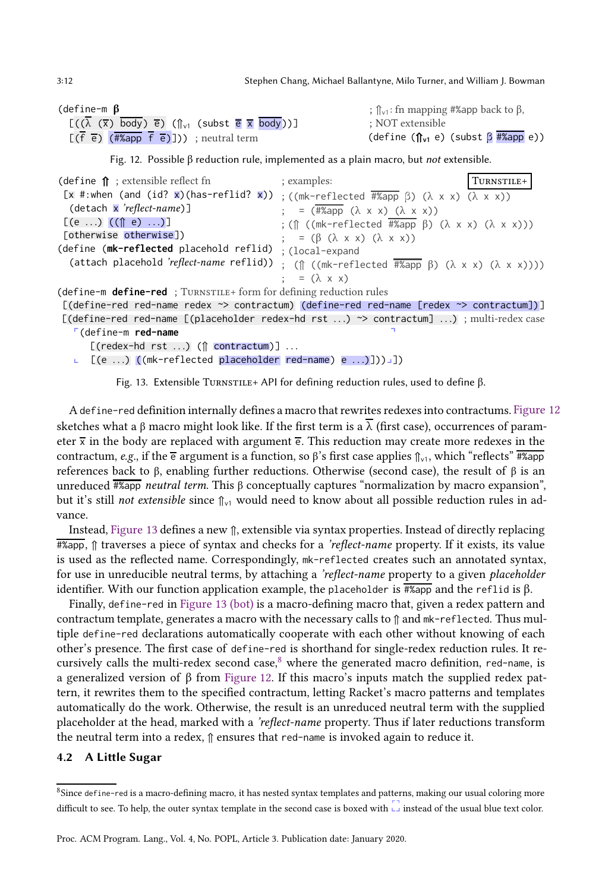3:12 Stephen Chang, Michael Ballantyne, Milo Turner, and William J. Bowman

| (define-m $\beta$                                                                                                            | ; $\hat{\mathbb{I}}_{v1}$ : fn mapping #%app back to $\beta$ , |
|------------------------------------------------------------------------------------------------------------------------------|----------------------------------------------------------------|
| $[(\lambda (\overline{x}) \overline{body}) \overline{e}) (\uparrow_{v1} (subst \overline{e} \overline{x} \overline{body}))]$ | : NOT extensible                                               |
| $[(f \overline{e})$ $(H\$ {2app} f \overline{e})]) ; neutral term                                                            | (define $(\hat{\mathbf{h}}_{v1} e)$ (subst $\beta$ #%app e))   |

Fig. 12. Possible β reduction rule, implemented as a plain macro, but *not* extensible.

<span id="page-11-1"></span>

| (define $\hat{\mathbf{n}}$ ; extensible reflect fn                                                                                                                                                                                                                                                 | ; examples:                                                             | TURNSTILE+ |
|----------------------------------------------------------------------------------------------------------------------------------------------------------------------------------------------------------------------------------------------------------------------------------------------------|-------------------------------------------------------------------------|------------|
| $[\overline{x}$ #:when (and (id? $\overline{x}$ )(has-reflid? $\overline{x}$ )) ; ((mk-reflected $\overline{\#2}$ app $\beta$ ) ( $\lambda \times x$ ) ( $\lambda \times x$ ))                                                                                                                     |                                                                         |            |
| $(detach \times 'reflect-name)$ ]                                                                                                                                                                                                                                                                  | ; = $(\overline{\# \text{Kapp}} (\lambda \times x) (\lambda \times x))$ |            |
| $[(e \ldots) ((\hat{\mathbb{q}} \cdot e) \ldots)]$                                                                                                                                                                                                                                                 | ; (↑ ((mk-reflected #%app β) (λ x x) (λ x x)))                          |            |
| [otherwise otherwise])                                                                                                                                                                                                                                                                             | ; = $(\beta (\lambda \times x) (\lambda \times x))$                     |            |
| (define (mk-reflected placehold reflid)                                                                                                                                                                                                                                                            | : (local-expand                                                         |            |
| (attach placehold 'reflect-name reflid)) ; ( $\Uparrow$ ((mk-reflected $\frac{1}{2}$ $\frac{1}{2}$ $\frac{1}{2}$ $\frac{1}{2}$ $\frac{1}{2}$ $\frac{1}{2}$ $\frac{1}{2}$ $\frac{1}{2}$ $\frac{1}{2}$ $\frac{1}{2}$ $\frac{1}{2}$ $\frac{1}{2}$ $\frac{1}{2}$ $\frac{1}{2}$ $\frac{1}{2}$ $\frac{1$ |                                                                         |            |
|                                                                                                                                                                                                                                                                                                    | $\therefore$ = $(\lambda \times x)$                                     |            |
| (define-m <b>define-red</b> ; TURNSTILE+ form for defining reduction rules                                                                                                                                                                                                                         |                                                                         |            |
| [(define-red red-name redex ~> contractum) (define-red red-name [redex ~> contractum])]                                                                                                                                                                                                            |                                                                         |            |
| [(define-red red-name [(placeholder redex-hd rst ) $\rightarrow$ contractum] ); multi-redex case                                                                                                                                                                                                   |                                                                         |            |
| $\Gamma$ (define-m red-name                                                                                                                                                                                                                                                                        |                                                                         |            |

 $[(\text{redex-hd} rst ...)$   $(\text{modform})$  ...

 $\Box$  [(e ...) ((mk-reflected placeholder red-name) e ...)])) $\Box$ ])

Fig. 13. Extensible Turnstille+ API for defining reduction rules, used to define  $β$ .

Adefine-red definition internally defines a macro that rewrites redexes into contractums. [Figure 12](#page-11-0) sketches what a β macro might look like. If the first term is a  $\overline{\lambda}$  (first case), occurrences of parameter  $\bar{x}$  in the body are replaced with argument  $\bar{e}$ . This reduction may create more redexes in the contractum, e.g., if the  $\overline{e}$  argument is a function, so  $\beta$ 's first case applies  $\eta_v$ , which "reflects"  $\frac{\pi}{4}$  app references back to β, enabling further reductions. Otherwise (second case), the result of β is an unreduced  $\frac{4}{4}$  *π*eutral term. This β conceptually captures "normalization by macro expansion", but it's still not extensible since  $\hat{I}_{\text{VI}}$  would need to know about all possible reduction rules in advance.

Instead, [Figure 13](#page-11-1) defines a new ⇑, extensible via syntax properties. Instead of directly replacing  $\frac{1}{4\%$ app,  $\hat{p}$  traverses a piece of syntax and checks for a 'reflect-name property. If it exists, its value is used as the reflected name. Correspondingly, mk-reflected creates such an annotated syntax, for use in unreducible neutral terms, by attaching a 'reflect-name property to a given placeholder identifier. With our function application example, the placeholder is  $\frac{4}{4}$  ( $\frac{2}{4}$  and the reflid is β.

Finally, define-red in [Figure 13 \(bot\)](#page-11-1) is a macro-defining macro that, given a redex pattern and contractum template, generates a macro with the necessary calls to ⇑ and mk-reflected. Thus multiple define-red declarations automatically cooperate with each other without knowing of each other's presence. The first case of define-red is shorthand for single-redex reduction rules. It recursively calls the multi-redex second case, $8$  where the generated macro definition, red-name, is a generalized version of β from [Figure 12.](#page-11-0) If this macro's inputs match the supplied redex pattern, it rewrites them to the specified contractum, letting Racket's macro patterns and templates automatically do the work. Otherwise, the result is an unreduced neutral term with the supplied placeholder at the head, marked with a 'reflect-name property. Thus if later reductions transform the neutral term into a redex, ⇑ ensures that red-name is invoked again to reduce it.

## 4.2 A Little Sugar

<span id="page-11-2"></span> $8$ Since define-red is a macro-defining macro, it has nested syntax templates and patterns, making our usual coloring more difficult to see. To help, the outer syntax template in the second case is boxed with  $\sqrt{2}$  instead of the usual blue text color.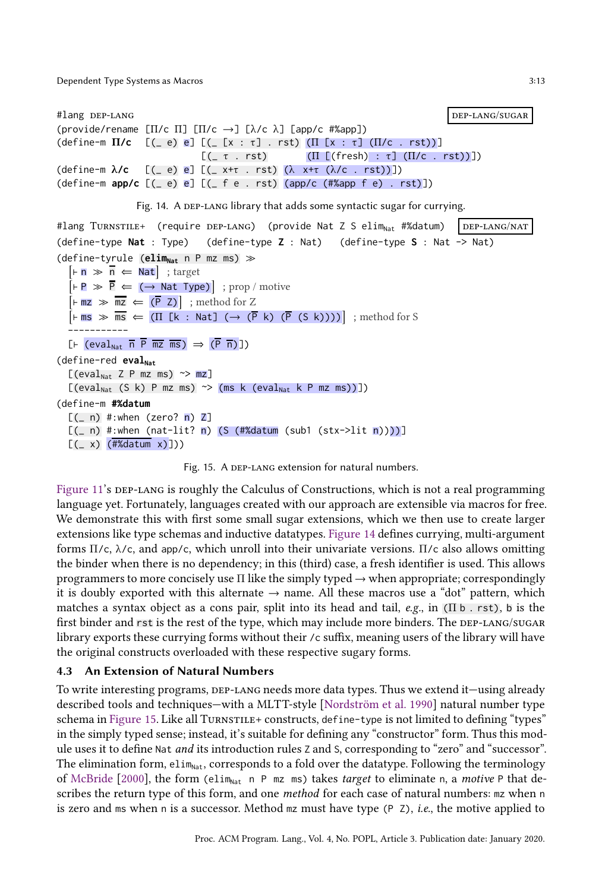```
#lang DEP-LANG department of the property of the property of the property of the property of the property of the property of the property of the property of the property of the property of the property of the property of t
(provide/rename [Π/c Π] [Π/c →] [λ/c λ] [app/c #%app])
(define-m Π/c [(_ e) e] [(_ [x : τ] . rst) (Π [x : τ] (Π/c . rst))]
                                     [(-\tau + \text{rst}) \quad (\Pi \left[ (\text{fresh}) : \tau \right] (\Pi/c + \text{rst}))])(define-m λ/c [(_ e) e] [(_ x+τ . rst) (λ x+τ (λ/c . rst))])
(define-m app/c [(_ e) e] [(_ f e . rst) (app/c (#%app f e) . rst)])
```
Fig. 14. A DEP-LANG library that adds some syntactic sugar for currying.

```
#lang Turnstille+ (require DEP-LANG) (provide Nat Z S elim<sub>Nat</sub> #%datum) DEP-LANG/NAT
(define-type Nat : Type) (define-type Z : Nat) (define-type S : Nat -> Nat)
(define-tyrule (elim<sub>Nat</sub> n P mz ms) ≫
    \boxed{\vdash n \gg \overline{n} \Leftarrow \text{Nat}}; target
    \left[\vdash P \gg \overline{P} \Leftarrow (\rightarrow \text{Nat Type})\right]; prop / motive
    \boxed{\vdash mz \gg mz \Leftarrow (\overline{P} Z)}; method for Z
    \boxed{\vdash \textsf{ms} \gg \textsf{ms} \Leftarrow (\textsf{\textsf{II}} \; [\textsf{k} : \textsf{Nat}] \; (\rightarrow \; (\overline{\textsf{P}} \; \textsf{k}) \; (\overline{\textsf{P}} \; (\textsf{S} \; \textsf{k}))))}; method for S
    -----------
   [F \text{ (eval}_{\text{Nat}} \overline{n} \overline{P} \overline{mz} \overline{mz}) \Rightarrow (\overline{P} \overline{n})])(define-red eval<sub>Nat</sub>
   [(eval<sub>Nat</sub> Z P mz ms) \sim mz][(eval<sub>Nat</sub> (S k) P mz m s) \sim (ms k (eval<sub>Nat</sub> k P mz m s))](define-m #%datum
   [(- n) #:when (zero? n) Z]
   [(- n) #:when (nat-lit? n) (S (#%datum (sub1 (stx->lit n))))]
   [(x \times (#%dataum x)]
```


[Figure 11'](#page-10-1)s DEP-LANG is roughly the Calculus of Constructions, which is not a real programming language yet. Fortunately, languages created with our approach are extensible via macros for free. We demonstrate this with first some small sugar extensions, which we then use to create larger extensions like type schemas and inductive datatypes. [Figure 14](#page-12-0) defines currying, multi-argument forms  $\Pi/c$ ,  $\lambda/c$ , and app/c, which unroll into their univariate versions.  $\Pi/c$  also allows omitting the binder when there is no dependency; in this (third) case, a fresh identifier is used. This allows programmers to more concisely use  $\Pi$  like the simply typed  $\rightarrow$  when appropriate; correspondingly it is doubly exported with this alternate  $\rightarrow$  name. All these macros use a "dot" pattern, which matches a syntax object as a cons pair, split into its head and tail, e.g., in (Π b . rst), b is the first binder and rst is the rest of the type, which may include more binders. The DEP-LANG/SUGAR library exports these currying forms without their /c suffix, meaning users of the library will have the original constructs overloaded with these respective sugary forms.

## 4.3 An Extension of Natural Numbers

To write interesting programs, DEP-LANG needs more data types. Thus we extend it—using already described tools and techniques—with a MLTT-style [\[Nordström et al. 1990\]](#page-28-12) natural number type schema in [Figure 15.](#page-12-1) Like all TURNSTILE+ constructs, define-type is not limited to defining "types" in the simply typed sense; instead, it's suitable for defining any "constructor" form. Thus this module uses it to define Nat *and* its introduction rules Z and S, corresponding to "zero" and "successor". The elimination form,  $elim_{Nat}$ , corresponds to a fold over the datatype. Following the terminology of [McBride](#page-28-3) [\[2000\]](#page-28-3), the form (elim<sub>Nat</sub> n P mz ms) takes target to eliminate n, a motive P that describes the return type of this form, and one *method* for each case of natural numbers: mz when n is zero and ms when n is a successor. Method mz must have type (P Z), i.e., the motive applied to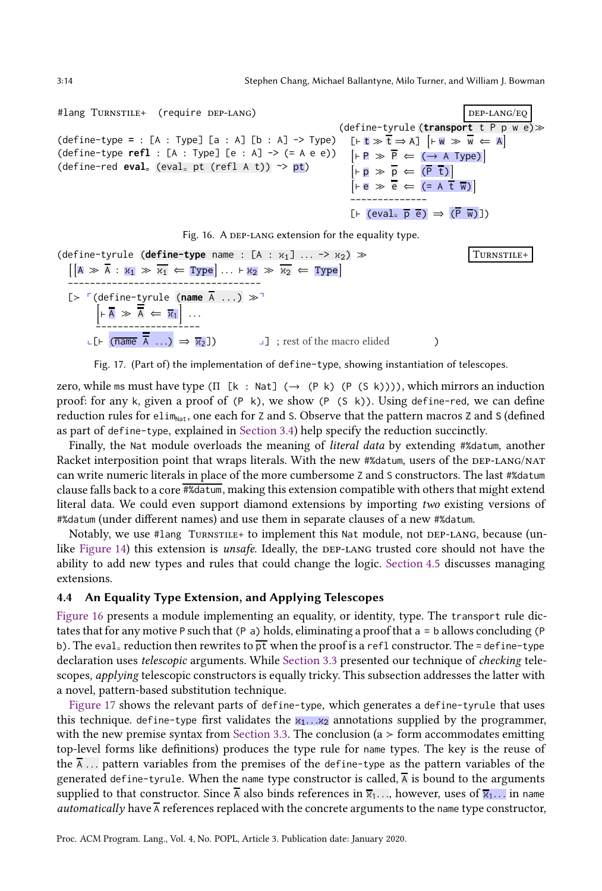#lang TURNSTILE+

 $(\text{define-type} = : |$ (define-type refl (define-red eval=

```
\n
$$
(require DEP-LANG)\n \quad (define-type (transpose t P P W e) \n (A : Type] [a : A] [b : A] → Type) [F t \Rightarrow \overline{t} \Rightarrow A] [F W \Rightarrow \overline{w} \Leftarrow A]\n : [A : Type] [e : A] → (= A e e)) [F P \Rightarrow \overline{P} \Leftarrow (\rightarrow A Type)]\n \quad (eval= pt (refl A t)) \Rightarrow pt)\n \quad [F B \Rightarrow \overline{P} \Leftarrow (\overline{P} t)]\n \quad [F e \Rightarrow \overline{e} \Leftarrow (= A t \overline{w})]\n \quad (= (eval= \overline{p} \overline{e}) \Rightarrow (\overline{P} \overline{w})])\n
$$

```



<span id="page-13-1"></span>
```
\n(define–tyrule (define-type name : [A : x1] ... -> x2) > \n[[A > \overline{A} : x1 > x1 <= Type] ... + x2 > x2 <= Type]\n\nL> F(define–tyrule (name 
$$
\overline{A} ...
$$
) > \n[+  $\overline{A} \gg \overline{A} \in \overline{x_1}$ ] ...  
\nL> F(name  $\overline{A} ...$ ) > \n[+  $\overline{A} \gg \overline{A} \in \overline{x_1}$ ] ...  
\nL> F (name  $\overline{A} ...$ ) > x2])\n
```

Fig. 17. (Part of) the implementation of define-type, showing instantiation of telescopes.

zero, while ms must have type (Π [k : Nat] ( $\rightarrow$  (P k) (P (S k)))), which mirrors an induction proof: for any k, given a proof of  $(P \mid k)$ , we show  $(P \mid (S \mid k))$ . Using define-red, we can define reduction rules for elim<sub>Nat</sub>, one each for Z and S. Observe that the pattern macros Z and S (defined as part of define-type, explained in [Section 3.4\)](#page-9-0) help specify the reduction succinctly.

Finally, the Nat module overloads the meaning of *literal data* by extending #%datum, another Racket interposition point that wraps literals. With the new #%datum, users of the DEP-LANG/NAT can write numeric literals in place of the more cumbersome Z and S constructors. The last #%datum clause falls back to a core #%datum, making this extension compatible with others that might extend literal data. We could even support diamond extensions by importing two existing versions of #%datum (under different names) and use them in separate clauses of a new #%datum.

Notably, we use #lang TURNSTILE+ to implement this Nat module, not DEP-LANG, because (un-like [Figure 14\)](#page-12-0) this extension is *unsafe*. Ideally, the DEP-LANG trusted core should not have the ability to add new types and rules that could change the logic. [Section 4.5](#page-14-0) discusses managing extensions.

## <span id="page-13-2"></span>4.4 An Equality Type Extension, and Applying Telescopes

[Figure 16](#page-13-0) presents a module implementing an equality, or identity, type. The transport rule dictates that for any motive P such that (P a) holds, eliminating a proof that  $a = b$  allows concluding (P b). The eval-reduction then rewrites to  $p\bar{t}$  when the proof is a refl constructor. The = define-type declaration uses telescopic arguments. While [Section 3.3](#page-8-2) presented our technique of checking telescopes, applying telescopic constructors is equally tricky. This subsection addresses the latter with a novel, pattern-based substitution technique.

[Figure 17](#page-13-1) shows the relevant parts of define-type, which generates a define-tyrule that uses this technique. define-type first validates the  $x_1 \ldots x_2$  annotations supplied by the programmer, with the new premise syntax from [Section 3.3.](#page-8-2) The conclusion (a  $>$  form accommodates emitting top-level forms like definitions) produces the type rule for name types. The key is the reuse of the  $\overline{A}$ ... pattern variables from the premises of the define-type as the pattern variables of the generated define-tyrule. When the name type constructor is called,  $\overline{A}$  is bound to the arguments supplied to that constructor. Since  $\overline{A}$  also binds references in  $\overline{x}_1$ ..., however, uses of  $\overline{x}_1$ ... in name *automatically* have  $\overline{A}$  references replaced with the concrete arguments to the name type constructor,

<span id="page-13-0"></span>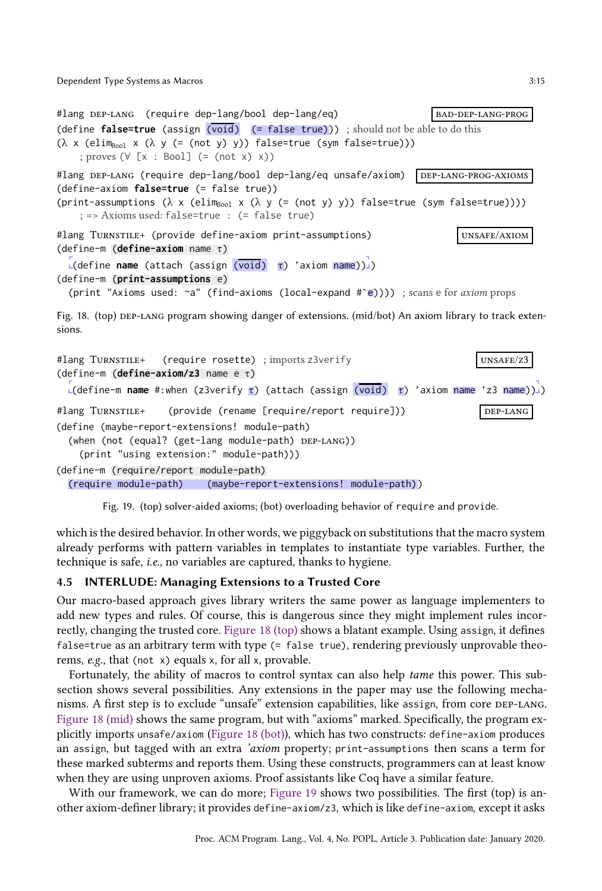```
#lang DEP-LANG (require dep-lang/bool dep-lang/eq) BAD-DEP-LANG-PROG
(define false=true (assign (void) (= false true))) ; should not be able to do this
(λ x (elim<sub>Bool</sub> x (λ y (= (not y) y)) false=true (sym false=true)))
    ; proves (∀ [x : Bool] (= (not x) x))
#lang DEF-LANG (require dep-lang/bool dep-lang/eq unsafe/axiom) DEF-LANG-PROG-AXIOMS(define-axiom false=true (= false true))
(print-assumptions (\lambda \times (elim_{Bool} \times (\lambda \times (=(not \ y) \times)) ) false=true (sym false=true))))
    ; => Axioms used: false=true : (= false true)
#lang Turnstile+ (provide define-axiom print-assumptions) vnsAFE/AXIOM
(define-m (define-axiom name τ)
  r<br>L(define name (attach (assign (void) τ) 'axiom name))]
(define-m (print-assumptions e)
  (print "Axioms used: ~a" (find-axioms (local-expand #`e)))) ; scans e for axiom props
Fig. 18. (top) DEP-LANG program showing danger of extensions. (mid/bot) An axiom library to track exten-
sions.
#lang Turnstille+ (require rosette) ; imports z3verify values are unsafe/z3
(define-m (define-axiom/z3 name e τ)
  -<br>∟(define-m name #:when (z3verify τ) (attach (assign (<mark>void)</mark> τ) 'axiom name 'z3 name))]
#lang Turnstille+ (provide (rename [require/report require])) bep-LANG
(define (maybe-report-extensions! module-path)
  (when (not (equal? (get-lang module-path) DEP-LANG))
    (print "using extension:" module-path)))
```
<span id="page-14-2"></span>(define-m (require/report module-path) (require module-path) (maybe-report-extensions! module-path))

Fig. 19. (top) solver-aided axioms; (bot) overloading behavior of require and provide.

which is the desired behavior. In other words, we piggyback on substitutions that the macro system already performs with pattern variables in templates to instantiate type variables. Further, the technique is safe, i.e., no variables are captured, thanks to hygiene.

### <span id="page-14-0"></span>4.5 INTERLUDE: Managing Extensions to a Trusted Core

Our macro-based approach gives library writers the same power as language implementers to add new types and rules. Of course, this is dangerous since they might implement rules incorrectly, changing the trusted core. [Figure 18 \(top\)](#page-14-1) shows a blatant example. Using assign, it defines false=true as an arbitrary term with type (= false true), rendering previously unprovable theorems, e.g., that (not x) equals x, for all x, provable.

Fortunately, the ability of macros to control syntax can also help tame this power. This subsection shows several possibilities. Any extensions in the paper may use the following mechanisms. A first step is to exclude "unsafe" extension capabilities, like assign, from core dep-lang. [Figure 18 \(mid\)](#page-14-1) shows the same program, but with "axioms" marked. Specifically, the program explicitly imports unsafe/axiom [\(Figure 18 \(bot\)\)](#page-14-1), which has two constructs: define-axiom produces an assign, but tagged with an extra 'axiom property; print-assumptions then scans a term for these marked subterms and reports them. Using these constructs, programmers can at least know when they are using unproven axioms. Proof assistants like Coq have a similar feature.

With our framework, we can do more; [Figure 19](#page-14-2) shows two possibilities. The first (top) is another axiom-definer library; it provides define-axiom/z3, which is like define-axiom, except it asks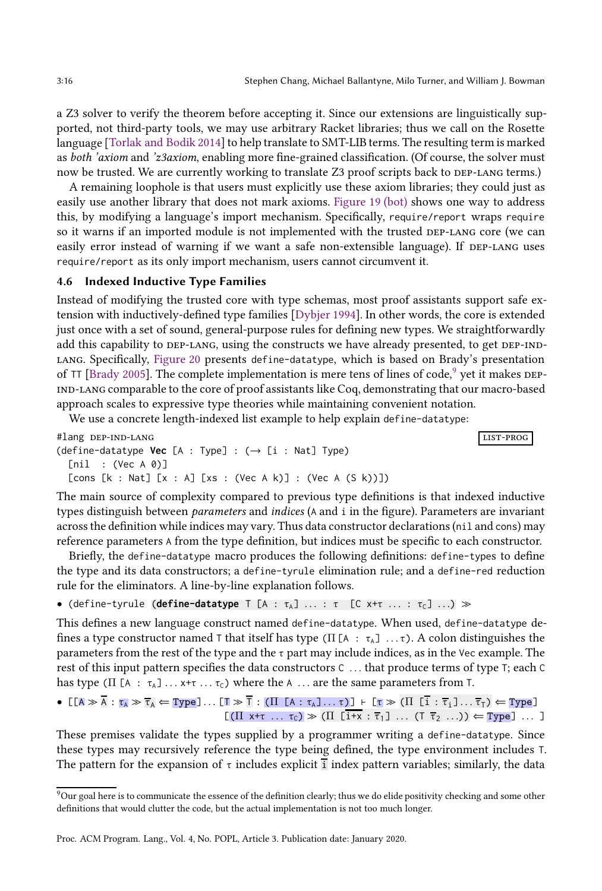a Z3 solver to verify the theorem before accepting it. Since our extensions are linguistically supported, not third-party tools, we may use arbitrary Racket libraries; thus we call on the Rosette language [\[Torlak and Bodik 2014\]](#page-29-6) to help translate to SMT-LIB terms. The resulting term is marked as both 'axiom and 'z3axiom, enabling more fine-grained classification. (Of course, the solver must now be trusted. We are currently working to translate Z3 proof scripts back to DEP-LANG terms.)

A remaining loophole is that users must explicitly use these axiom libraries; they could just as easily use another library that does not mark axioms. [Figure 19 \(bot\)](#page-14-2) shows one way to address this, by modifying a language's import mechanism. Specifically, require/report wraps require so it warns if an imported module is not implemented with the trusted DEP-LANG core (we can easily error instead of warning if we want a safe non-extensible language). If DEP-LANG uses require/report as its only import mechanism, users cannot circumvent it.

## 4.6 Indexed Inductive Type Families

Instead of modifying the trusted core with type schemas, most proof assistants support safe extension with inductively-defined type families [\[Dybjer 1994\]](#page-27-10). In other words, the core is extended just once with a set of sound, general-purpose rules for defining new types. We straightforwardly add this capability to DEP-LANG, using the constructs we have already presented, to get DEP-INDlang. Specifically, [Figure 20](#page-16-0) presents define-datatype, which is based on Brady's presentation of TT [\[Brady 2005\]](#page-27-15). The complete implementation is mere tens of lines of code,<sup>[9](#page-15-0)</sup> yet it makes DEPind-lang comparable to the core of proof assistants like Coq, demonstrating that our macro-based approach scales to expressive type theories while maintaining convenient notation.

We use a concrete length-indexed list example to help explain define-datatype:

```
#lang dep-ind-lang list-prog
(define-datotype Vec [A : Type] : (\rightarrow [i : Nat] Type)[nil : (Vec A 0)]
 [cons [k : Nat] [x : A] [xs : (Vec A k)] : (Vec A (S k))]
```
The main source of complexity compared to previous type definitions is that indexed inductive types distinguish between parameters and indices (A and i in the figure). Parameters are invariant across the definition while indices may vary. Thus data constructor declarations (nil and cons) may reference parameters A from the type definition, but indices must be specific to each constructor.

Briefly, the define-datatype macro produces the following definitions: define-types to define the type and its data constructors; a define-tyrule elimination rule; and a define-red reduction rule for the eliminators. A line-by-line explanation follows.

• (define-tyrule (**define-datatype**  $T$  [A :  $\tau_A$ ] ... :  $\tau$  [C x+ $\tau$  ... :  $\tau_c$ ] ...)  $\gg$ 

This defines a new language construct named define-datatype. When used, define-datatype defines a type constructor named T that itself has type (Π [A :  $\tau_A$ ] ...τ). A colon distinguishes the parameters from the rest of the type and the  $\tau$  part may include indices, as in the Vec example. The rest of this input pattern specifies the data constructors C . . . that produce terms of type T; each C has type ( $\Pi$  [A :  $\tau_A$ ] ...  $x+\tau$  ...  $\tau_C$ ) where the A ... are the same parameters from T.

$$
\bullet \ \ [\texttt{[A]} \gg \overline{\mathsf{A}} : \tau_{\mathsf{A}} \gg \overline{\tau}_{\mathsf{A}} \Leftarrow \texttt{Type}] \dots [\texttt{T} \gg \overline{\mathsf{T}} : (\texttt{II} \ [\texttt{A} : \tau_{\mathsf{A}}] \dots \tau)] + [\tau \gg (\texttt{II} \ [\texttt{i} : \overline{\tau}_{\mathsf{i}}] \dots \overline{\tau}_{\mathsf{T}}) \Leftarrow \texttt{Type}] \newline [\texttt{(II} \ \texttt{x} + \tau \ \dots \ \tau_{\mathsf{C}}) \gg (\texttt{II} \ [\texttt{i} + \mathsf{x} : \overline{\tau}_{\mathsf{1}}] \ \dots \ (\texttt{T} \ \overline{\tau}_{2} \ \dots)) \Leftarrow \texttt{Type}] \ \dots \ ]
$$

These premises validate the types supplied by a programmer writing a define-datatype. Since these types may recursively reference the type being defined, the type environment includes T. The pattern for the expansion of  $\tau$  includes explicit index pattern variables; similarly, the data

<span id="page-15-0"></span> $9$  Our goal here is to communicate the essence of the definition clearly; thus we do elide positivity checking and some other definitions that would clutter the code, but the actual implementation is not too much longer.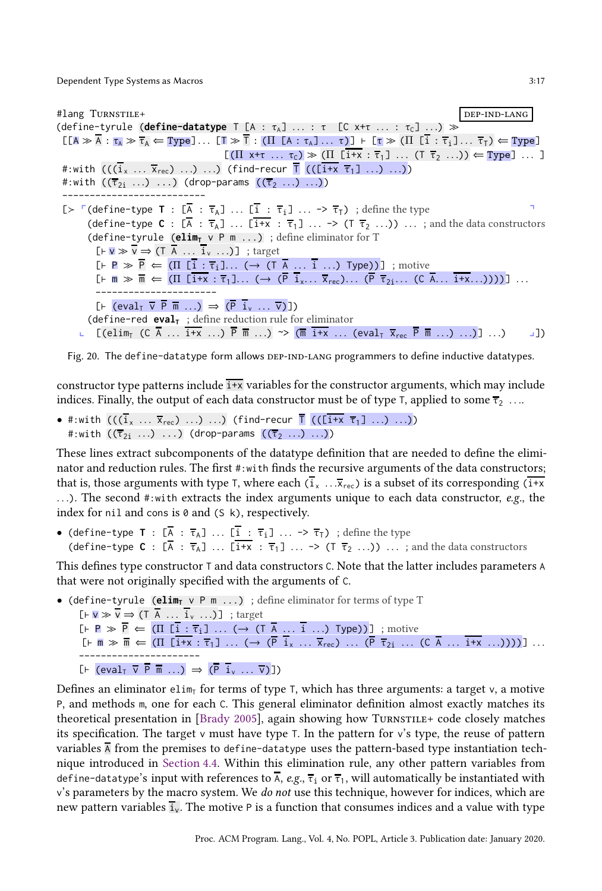<span id="page-16-0"></span>#lang Turnstille+ dependent of the set of the set of the set of the set of the set of the set of the set of the set of the set of the set of the set of the set of the set of the set of the set of the set of the set of the (define-tyrule (**define-datatype**  $T$  [A :  $\tau_A$ ] ... :  $\tau$  [C x+ $\tau$  ... :  $\tau_c$ ] ...)  $\gg$  $[I(A \gg A : \tau_A \gg \overline{\tau}_A \Leftarrow \text{Type}] \dots [T \gg \overline{T} : (II [A : \tau_A] \dots \tau)] + [\tau \gg (II [i : \overline{\tau}_i] \dots \overline{\tau}_T) \Leftarrow \text{Type}]$  $[(\Pi \times^+ \tau \dots \tau_{c}) \gg (\Pi \ \overline{1 + x} : \overline{\tau}_{1}] \dots (T \ \overline{\tau}_{2} \dots)) \Leftarrow \text{Type}] \dots ]$ #:with  $((\overline{i}_x \ldots \overline{x}_{rec}) \ldots) \ldots)$  (find-recur  $\overline{\Gamma}$  (( $(\overline{i+x} \ \overline{\tau_1}] \ldots) \ldots)$ ) #:with  $((\overline{\tau}_{2i} \ldots) \ldots)$  (drop-params  $((\overline{\tau}_{2} \ldots) \ldots))$ ) --------------------------  $[\triangleright \ \ulcorner(\text{define-type } T : [\overline{A} : \overline{\tau}_A] \ \ldots \ \overline{I} : \overline{\tau}_i] \ \ldots \rightarrow \overline{\tau}_T)$ ; define the type (define-type  $C : [\overline{A} : \overline{\tau}_A] \dots [\overline{i+x} : \overline{\tau}_1] \dots \rightarrow (T \overline{\tau}_2 \dots) \dots$ ; and the data constructors (define-tyrule (**elim<sup>T</sup>** v P m ...) ; define eliminator for T  $[F \triangleright \overline{v} \Rightarrow \overline{v} \Rightarrow (\overline{T} \stackrel{\overline{A}}{A} \dots \stackrel{\overline{i}}{i_v} \dots)]$ ; target  $\overline{[} \vdash P \gg \overline{P} \Leftarrow (\Pi \overline{[} \vdots \vdots \overline{\tau}_i \vdots \ldots \left( \rightarrow (\overline{I} \overline{A} \ldots \overline{i} \ldots) \top \text{type})) \right]$ ; motive  $[F \ \overline{m} \gg \overline{m} \Leftarrow (\Pi \ \overline{[i+x] : \tau_1}] \dots \iff (\overline{P} \ \overline{i}_x \dots \overline{x}_{rec}) \dots \ (\overline{P} \ \overline{\tau}_{2i} \dots \ (\overline{C} \ \overline{A} \dots \overline{i+x} \dots))))]$  ... ----------------------  $[F \text{ (eval}_T \ \overline{v} \ \overline{P} \ \overline{m} \ \ldots) \Rightarrow (\overline{P} \ \overline{i}_v \ \ldots \ \overline{v})]$ (define-red  $eval_{T}$ ; define reduction rule for eliminator **□**  $[(\text{elim}_{\text{T}} (C \overline{A} ... \overline{1+x} ...) \overline{P} \overline{m} ...) \sim (\overline{m} \overline{1+x} ... (\text{eval}_{\text{T}} \overline{X}_{\text{rec}} \overline{P} \overline{m} ...) ...)]$ ...)

Fig. 20. The define-datatype form allows DEP-IND-LANG programmers to define inductive datatypes.

constructor type patterns include  $\frac{1}{x}$  variables for the constructor arguments, which may include indices. Finally, the output of each data constructor must be of type T, applied to some  $\overline{\tau}_2$  ...

• #:with  $(((\bar{i}_x \ldots \bar{x}_{\text{rec}}) \ldots) \ldots)$  (find-recur  $\bar{1}$  (( $(\bar{i}+x \bar{\tau}_1] \ldots) \ldots)$ ) #:with  $((\overline{\tau}_{2i} \ldots) \ldots)$  (drop-params  $((\overline{\tau}_{2} \ldots) \ldots)$ )

These lines extract subcomponents of the datatype definition that are needed to define the eliminator and reduction rules. The first #:with finds the recursive arguments of the data constructors; that is, those arguments with type T, where each  $(\overline{i_x} \dots \overline{x_{\text{rec}}} )$  is a subset of its corresponding  $(\overline{i+x})$ ...). The second #:with extracts the index arguments unique to each data constructor,  $e.g.,$  the index for nil and cons is  $\theta$  and (S k), respectively.

• (define-type **T** :  $[\overline{A} : \overline{\tau}_A] \dots [\overline{I} : \overline{\tau}_i] \dots \rightarrow \overline{\tau}_T$ ) ; define the type (define-type **C** :  $[\overline{A} : \overline{\tau}_A]$  ...  $[\overline{i+x} : \overline{\tau}_1]$  ... -> (T  $\overline{\tau}_2$  ...)) ... ; and the data constructors

This defines type constructor T and data constructors C. Note that the latter includes parameters A that were not originally specified with the arguments of C.

• (define-tyrule (elim<sub>*T*</sub> v P m ...); define eliminator for terms of type T  $[F \triangleright \overline{v} \Rightarrow \overline{v} \Rightarrow (\overline{T} \overline{A} \dots \overline{i} \overline{v} \dots)]$ ; target  $[F \colon P \gg \overline{P} \Leftarrow (\Pi [\overline{i} : \overline{\tau}_i] \dots (\rightarrow (\overline{I} \overline{A} \dots \overline{i} \dots) \text{ Type}))]$ ; motive  $[F \ \overline{m} \gg \overline{m} \Leftarrow (\Pi \ \overline{[1+x]} : \overline{\tau}_1] \ \dots \ \left(\rightarrow \ (\overline{P} \ \overline{i}_x \ \dots \ \overline{x}_{rec}) \ \dots \ (\overline{P} \ \overline{\tau}_{2i} \ \dots \ \left(\overline{C} \ \overline{A} \ \dots \ \overline{i+x} \ \dots \right))))]$  ... ----------------------  $[F \text{ (eval}_T \ \overline{v} \ \overline{P} \ \overline{m} \ \ldots) \Rightarrow (\overline{P} \ \overline{i}_v \ \ldots \ \overline{v})]$ 

Defines an eliminator elim<sub>T</sub> for terms of type T, which has three arguments: a target v, a motive P, and methods m, one for each C. This general eliminator definition almost exactly matches its theoretical presentation in [\[Brady 2005\]](#page-27-15), again showing how TurnsTille+ code closely matches its specification. The target  $\vee$  must have type T. In the pattern for  $\vee$ 's type, the reuse of pattern variables  $\overline{A}$  from the premises to define-datatype uses the pattern-based type instantiation technique introduced in [Section 4.4.](#page-13-2) Within this elimination rule, any other pattern variables from define-datatype's input with references to  $\overline{A}$ , e.g.,  $\overline{\tau}_1$  or  $\overline{\tau}_1$ , will automatically be instantiated with  $v$ 's parameters by the macro system. We *do not* use this technique, however for indices, which are new pattern variables  $\overline{i}_{v}$ . The motive P is a function that consumes indices and a value with type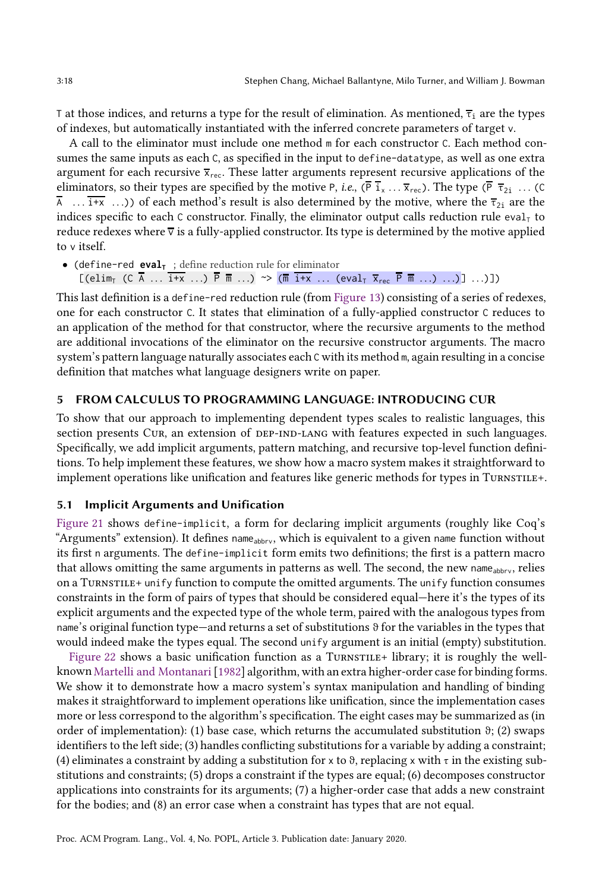T at those indices, and returns a type for the result of elimination. As mentioned,  $\bar{\tau}_i$  are the types of indexes, but automatically instantiated with the inferred concrete parameters of target v.

A call to the eliminator must include one method m for each constructor C. Each method consumes the same inputs as each C, as specified in the input to define-datatype, as well as one extra argument for each recursive  $\overline{x}_{\text{rec}}$ . These latter arguments represent recursive applications of the eliminators, so their types are specified by the motive P, *i.e.*,  $(\overline{P} \, \overline{i}_x \dots \overline{x}_{\text{rec}})$ . The type  $(\overline{P} \, \overline{\tau}_{2i} \dots \overline{C})$  $\overline{A}$  ...  $\overline{i+x}$  ...)) of each method's result is also determined by the motive, where the  $\overline{\tau}_{2i}$  are the indices specific to each C constructor. Finally, the eliminator output calls reduction rule eval<sub>T</sub> to reduce redexes where  $\overline{v}$  is a fully-applied constructor. Its type is determined by the motive applied to v itself.

• (define-red **eval<sup>T</sup>** ; define reduction rule for eliminator  $[(\text{elim}_{\text{T}} (C \overline{A} \dots \overline{i+x} \dots) \overline{P} \overline{m} \dots) \rightarrow (\overline{m} \overline{i+x} \dots (\text{eval}_{\text{T}} \overline{x}_{\text{rec}} \overline{P} \overline{m} \dots) \dots)] \dots)]$ 

This last definition is a define-red reduction rule (from [Figure 13\)](#page-11-1) consisting of a series of redexes, one for each constructor C. It states that elimination of a fully-applied constructor C reduces to an application of the method for that constructor, where the recursive arguments to the method are additional invocations of the eliminator on the recursive constructor arguments. The macro system's pattern language naturally associates each C with its method m, again resulting in a concise definition that matches what language designers write on paper.

## <span id="page-17-0"></span>5 FROM CALCULUS TO PROGRAMMING LANGUAGE: INTRODUCING CUR

To show that our approach to implementing dependent types scales to realistic languages, this section presents Cur, an extension of DEP-IND-LANG with features expected in such languages. Specifically, we add implicit arguments, pattern matching, and recursive top-level function definitions. To help implement these features, we show how a macro system makes it straightforward to implement operations like unification and features like generic methods for types in TURNSTILE+.

### 5.1 Implicit Arguments and Unification

[Figure 21](#page-18-0) shows define-implicit, a form for declaring implicit arguments (roughly like Coq's "Arguments" extension). It defines  $name_{abbyy}$ , which is equivalent to a given name function without its first n arguments. The define-implicit form emits two definitions; the first is a pattern macro that allows omitting the same arguments in patterns as well. The second, the new name  $_{\text{abbyy}}$ , relies on a Turnstile+ unify function to compute the omitted arguments. The unify function consumes constraints in the form of pairs of types that should be considered equal—here it's the types of its explicit arguments and the expected type of the whole term, paired with the analogous types from name's original function type—and returns a set of substitutions  $\vartheta$  for the variables in the types that would indeed make the types equal. The second unify argument is an initial (empty) substitution.

[Figure 22](#page-18-1) shows a basic unification function as a TURNSTILE+ library; it is roughly the wellknown [Martelli and Montanari\[1982\]](#page-28-13) algorithm, with an extra higher-order case for binding forms. We show it to demonstrate how a macro system's syntax manipulation and handling of binding makes it straightforward to implement operations like unification, since the implementation cases more or less correspond to the algorithm's specification. The eight cases may be summarized as (in order of implementation): (1) base case, which returns the accumulated substitution  $\vartheta$ ; (2) swaps identifiers to the left side; (3) handles conflicting substitutions for a variable by adding a constraint; (4) eliminates a constraint by adding a substitution for x to  $\theta$ , replacing x with  $\tau$  in the existing substitutions and constraints; (5) drops a constraint if the types are equal; (6) decomposes constructor applications into constraints for its arguments; (7) a higher-order case that adds a new constraint for the bodies; and (8) an error case when a constraint has types that are not equal.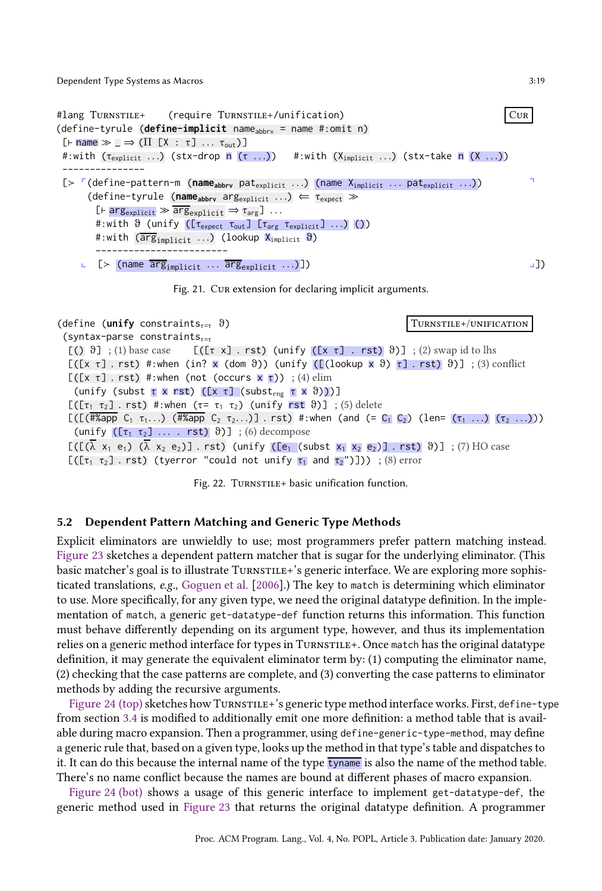<span id="page-18-0"></span>#lang Turnstile+ (require Turnstile+/unification) Cur (define-tyrule (**define-implicit** name<sub>abbry</sub> = name #:omit n)  $[F \text{ name } \gg \bot \Rightarrow (\Pi \ [X \ : \ \tau \ ] \ \ldots \ \tau_{\text{out}})]$ #:with ( $\tau_{\text{explicit}}$  ...) (stx-drop n ( $\tau$  ...)) #:with ( $X_{\text{implicit}}$  ...) (stx-take n (X ...)) --------------- [> <sup>r</sup>(define-pattern-m (name<sub>abbrv</sub> pat<sub>explicit</sub> ...) (name X<sub>implicit</sub> ... pat<sub>explicit</sub> ...)) (define-tyrule (**nameabbrv** argexplicit . . .) ⇐ τexpect ≫  $[Fe] \rightarrow \text{arg}_{\text{explicit}} \gg \text{arg}_{\text{explicit}} \Rightarrow \tau_{\text{arg}}] \dots$ #:with  $\vartheta$  (unify ([ $\tau_{\text{expect}}$   $\tau_{\text{out}}$ ]  $[\tau_{\text{arg}}$   $\tau_{\text{explicit}}]$  ...) ()) #:with  $(\overline{\arg}_{\text{implicit}} \dots)$  (lookup  $X_{\text{implicit}} \vartheta$ ) ------------------------  $\bot$  [≻ (name  $\overline{\arg_{\text{implicit}}}$  ...  $\overline{\arg_{\text{explicit}}}$  ...)])  $\bot$ 



<span id="page-18-1"></span>(define (**unify** constraints<sub>τ=τ</sub> θ) Turnstile+/UNIFICATION (syntax-parse constraints $_{\tau=\tau}$  $[(\ )\ \vartheta]$ ; (1) base case  $[(\tau \times]$ . rst) (unify  $([\times \tau]$ . rst)  $\vartheta)]$ ; (2) swap id to lhs  $[(x \tau] \cdot r \tau)$  #:when (in? x (dom  $\vartheta$ )) (unify  $([\text{lookup } x \vartheta) \tau] \cdot r \tau)$   $\vartheta$ )] ; (3) conflict  $[(x \tau] \cdot \text{rst})$  #:when (not (occurs  $x \tau$ )) ; (4) elim (unify (subst τ x rst) ( $[x \tau]$  (subst<sub>rng</sub> τ x  $\vartheta$ )))]  $[(\tau_1 \tau_2]$ . rst) #:when  $(\tau = \tau_1 \tau_2)$  (unify rst  $\vartheta)$ ]; (5) delete  $[(\Gamma(\# \& app \ C_1 \ \tau_1 \dots) \ \ (\# \& app \ C_2 \ \tau_2 \dots)] \ \ \text{rst}) \ \ #:\text{when} \ \ (\text{and} \ \ (\equiv \ C_1 \ C_2) \ \ (\text{len} = \ (\tau_1 \ \dots) \ \ (\tau_2 \ \dots)) \ \ )$ (unify  $([\tau_1 \ \tau_2] \ \ldots \ rst)$   $\vartheta)$ ] ; (6) decompose  $[([(\lambda x_1 e_1) (\lambda x_2 e_2)] \cdot rst)$  (unify ( $[e_1$  (subst  $x_1 x_2 e_2]$ ] . rst)  $\vartheta$ )] ; (7) HO case [([ $\tau_1$   $\tau_2$ ] . rst) (tyerror "could not unify  $\tau_1$  and  $\tau_2$ ")])) ; (8) error

Fig. 22. TURNSTILE+ basic unification function.

### <span id="page-18-2"></span>5.2 Dependent Pattern Matching and Generic Type Methods

Explicit eliminators are unwieldly to use; most programmers prefer pattern matching instead. [Figure 23](#page-19-0) sketches a dependent pattern matcher that is sugar for the underlying eliminator. (This basic matcher's goal is to illustrate TURNSTILE+'s generic interface. We are exploring more sophisticated translations, e.g., [Goguen et al.](#page-28-14) [\[2006\]](#page-28-14).) The key to match is determining which eliminator to use. More specifically, for any given type, we need the original datatype definition. In the implementation of match, a generic get-datatype-def function returns this information. This function must behave differently depending on its argument type, however, and thus its implementation relies on a generic method interface for types in TURNSTILE+. Once match has the original datatype definition, it may generate the equivalent eliminator term by: (1) computing the eliminator name, (2) checking that the case patterns are complete, and (3) converting the case patterns to eliminator methods by adding the recursive arguments.

[Figure 24 \(top\)](#page-19-1) sketches how TurnsTILE+'s generic type method interface works. First, define-type from section [3.4](#page-9-0) is modified to additionally emit one more definition: a method table that is available during macro expansion. Then a programmer, using define-generic-type-method, may define a generic rule that, based on a given type, looks up the method in that type's table and dispatches to it. It can do this because the internal name of the type tyname is also the name of the method table. There's no name conflict because the names are bound at different phases of macro expansion.

[Figure 24 \(bot\)](#page-19-1) shows a usage of this generic interface to implement get-datatype-def, the generic method used in [Figure 23](#page-19-0) that returns the original datatype definition. A programmer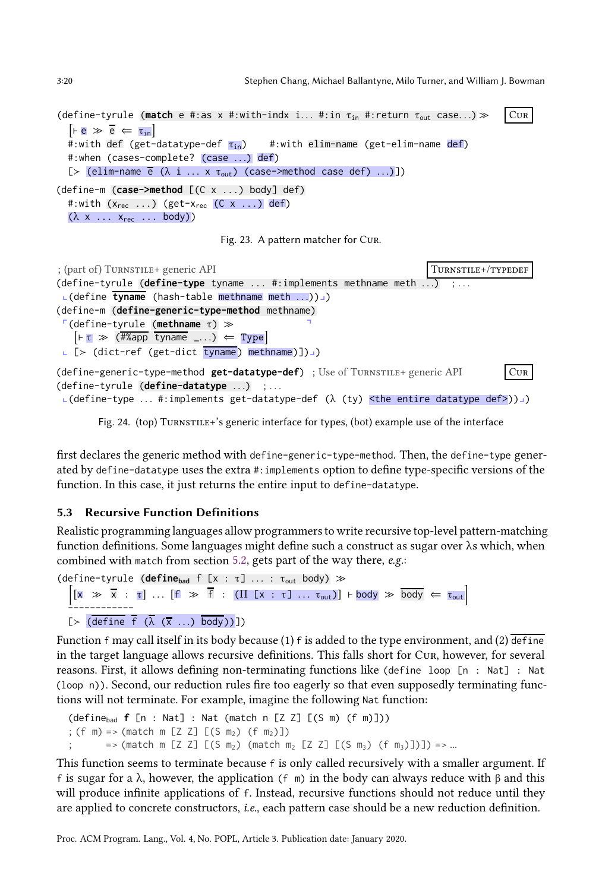<span id="page-19-0"></span>3:20 Stephen Chang, Michael Ballantyne, Milo Turner, and William J. Bowman

```
(define-tyrule (match e #:as x #:with-indx i... #:in τ<sub>in</sub> #:return τ<sub>out</sub> case...) ≫ CUR
   \vert \vdash e \rangle \equiv e \vert \leftarrow \vert \tau_{\text{in}} \vert\ddot{x}:with def (get-datatype-def \tau_{in}) #:with elim-name (get-elim-name def)
  #:when (cases-complete? (case ...) def)
  [> (elim-name \overline{e} (\lambda i ... x \tau_{out}) (case->method case def) ...)])
(define-m (case->method [(C x ...) body] def)
  #:with (x_{rec} \dots) (get-x_{rec} (C x \dots) def)
  (\lambda \times \ldots \times_{\text{rec}} \ldots \text{body}))Fig. 23. A pattern matcher for Cur.
; (part of) Turnstille+ generic API Turnstille+/Typedef Turnstille+/typedef
(define-tyrule (define-type tyname ... #:implements methname meth ...) ; ...
 L(define tyname (hash-table methname meth ...))
(define-m (define-generic-type-method methname)
 p(define-tyrule (methname τ) ≫ q
    \left[\vdash \tau \Rightarrow (\overline{\text{#Xapp}} \ \overline{\text{tyname}} \ \ldots) \Leftarrow \text{Type}\right]L [> (dict-ref (get-dict tyname) methname)])
(define-generic-type-method get-datatype-def) ; Use of Turnstile+ generic API Cur
(define-tyrule (define-datatype ...) ; ...
 \textsf{L}(\textsf{define-type} \dots \# \textsf{:implements get-datotype-def} \ (\lambda \ (ty) \ \textsf{the entire datotype def} )\textsf{d} \
```
Fig. 24. (top) Turnstile+'s generic interface for types, (bot) example use of the interface

first declares the generic method with define-generic-type-method. Then, the define-type generated by define-datatype uses the extra #:implements option to define type-specific versions of the function. In this case, it just returns the entire input to define-datatype.

## <span id="page-19-2"></span>5.3 Recursive Function Definitions

Realistic programming languages allow programmers to write recursive top-level pattern-matching function definitions. Some languages might define such a construct as sugar over λs which, when combined with match from section [5.2,](#page-18-2) gets part of the way there, e.g.:

```
(\text{define–tyrule} (\text{define}_{\text{bad}} f [x : \tau] ... : \tau_{\text{out}} \text{body}) \gg\Big[[x \gg \overline{x} : \tau] \dots [f \gg \overline{f} : (\Pi [x : \tau] \dots \tau_{out})] \models body \gg \overline{body} \Leftarrow \tau_{out}------------
   [\frac{\succ (\text{define } f(\lambda(x...), \text{body}))]}
```
Function  $f$  may call itself in its body because (1)  $f$  is added to the type environment, and (2) define in the target language allows recursive definitions. This falls short for Cur, however, for several reasons. First, it allows defining non-terminating functions like (define loop [n : Nat] : Nat (loop n)). Second, our reduction rules fire too eagerly so that even supposedly terminating functions will not terminate. For example, imagine the following Nat function:

```
(definebad f [n : Nat] : Nat (match n [Z Z] [(S m) (f m)]))
; (f m) => (match m [Z Z] [(S m<sub>2</sub>) (f m<sub>2</sub>)])
         => (match m [Z Z] [(S m<sub>2</sub>) (match m<sub>2</sub> [Z Z] [(S m<sub>3</sub>) (f m<sub>3</sub>)])]) => ...
```
This function seems to terminate because f is only called recursively with a smaller argument. If f is sugar for a  $\lambda$ , however, the application (f m) in the body can always reduce with  $\beta$  and this will produce infinite applications of f. Instead, recursive functions should not reduce until they are applied to concrete constructors, i.e., each pattern case should be a new reduction definition.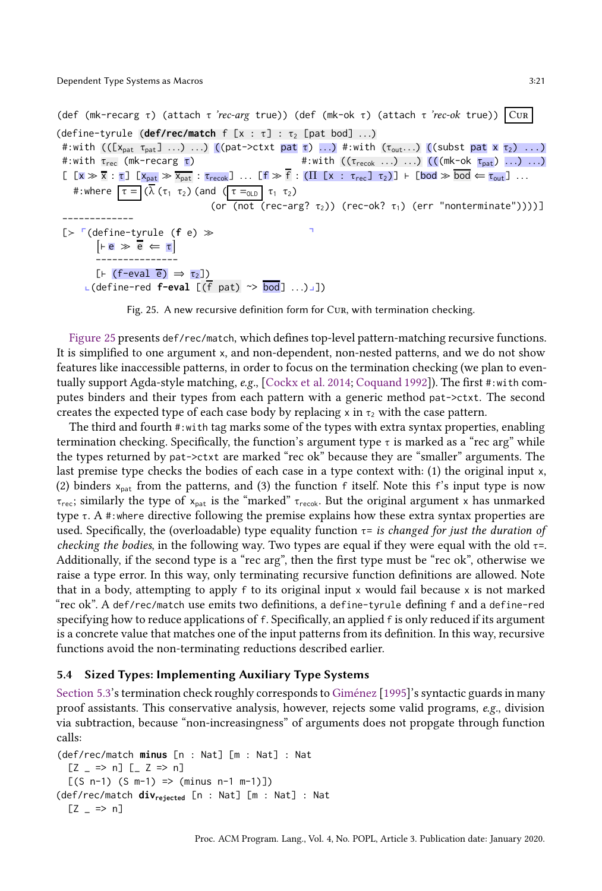<span id="page-20-0"></span>(def (mk-recarg τ) (attach τ 'rec-arg true)) (def (mk-ok τ) (attach τ 'rec-ok true)) CUR (define-tyrule (**def/rec/match** f  $[x : \tau] : \tau$ <sub>2</sub> [pat bod] ...) #:with  $((\chi_{\text{pat}} \tau_{\text{pat}}] ...)$  ...) ((pat->ctxt pat  $\tau)$  ...) #:with  $(\tau_{\text{out}}...)$  ((subst pat  $\bar{x}$   $\tau_2)$  ...) #:with  $\tau_{rec}$  (mk-recarg  $\tau$ )  $\tau$  =  $\tau$  +:with (( $\tau_{recok}$  ...) ...) (((mk-ok  $\tau_{pat}$ ) ...) ...)  $[$   $[x \gg \overline{x} : \tau]$   $[x_{pat} \gg \overline{x}_{pat} : \tau_{recoh}]$  ...  $[f \gg \overline{f} : (\Pi \ [x : \tau_{rec}] \ \tau_2)]$  ⊢  $[bod \gg \overline{bod} \Leftarrow \tau_{out}]$  ... #:where  $\tau = (\lambda (\tau_1 \tau_2)$  (and  $(\tau = 0.02)$   $\tau_1 \tau_2$ ) (or (not (rec-arg?  $\tau_2$ )) (rec-ok?  $\tau_1$ ) (err "nonterminate"))))] ------------- [≻ cdefine-tyrule (**f** e) ≫  $\overline{e} \gg \overline{e} \Leftarrow \tau$ ---------------  $[F \text{ (f-eval } e) \Rightarrow \tau_2]$  $L$ (define-red **f-eval**  $[(\overline{f}$  pat)  $\sim$   $\overline{bod}]$  ...)

Fig. 25. A new recursive definition form for Cur, with termination checking.

[Figure 25](#page-20-0) presents def/rec/match, which defines top-level pattern-matching recursive functions. It is simplified to one argument x, and non-dependent, non-nested patterns, and we do not show features like inaccessible patterns, in order to focus on the termination checking (we plan to eventually support Agda-style matching, e.g., [\[Cockx et al. 2014](#page-27-16); [Coquand 1992](#page-27-7)]). The first #:with computes binders and their types from each pattern with a generic method pat->ctxt. The second creates the expected type of each case body by replacing x in  $\tau$ , with the case pattern.

The third and fourth #:with tag marks some of the types with extra syntax properties, enabling termination checking. Specifically, the function's argument type  $\tau$  is marked as a "rec arg" while the types returned by pat->ctxt are marked "rec ok" because they are "smaller" arguments. The last premise type checks the bodies of each case in a type context with: (1) the original input x, (2) binders  $x_{\text{pat}}$  from the patterns, and (3) the function f itself. Note this f's input type is now  $\tau_{\text{rec}}$ ; similarly the type of  $x_{\text{part}}$  is the "marked"  $\tau_{\text{reco}}$ . But the original argument x has unmarked type τ. A #:where directive following the premise explains how these extra syntax properties are used. Specifically, the (overloadable) type equality function  $\tau$ = is changed for just the duration of checking the bodies, in the following way. Two types are equal if they were equal with the old  $\tau$ =. Additionally, if the second type is a "rec arg", then the first type must be "rec ok", otherwise we raise a type error. In this way, only terminating recursive function definitions are allowed. Note that in a body, attempting to apply f to its original input x would fail because x is not marked "rec ok". A def/rec/match use emits two definitions, a define-tyrule defining f and a define-red specifying how to reduce applications of f. Specifically, an applied f is only reduced if its argument is a concrete value that matches one of the input patterns from its definition. In this way, recursive functions avoid the non-terminating reductions described earlier.

## 5.4 Sized Types: Implementing Auxiliary Type Systems

[Section 5.3'](#page-19-2)s termination check roughly corresponds to [Giménez](#page-28-4) [\[1995](#page-28-4)]'s syntactic guards in many proof assistants. This conservative analysis, however, rejects some valid programs, e.g., division via subtraction, because "non-increasingness" of arguments does not propgate through function calls:

```
(def/rec/match minus [n : Nat] [m : Nat] : Nat
  [Z = > n] [Z = > n][(S n-1) (S m-1) \Rightarrow (minus n-1 m-1)](def/rec/match divrejected [n : Nat] [m : Nat] : Nat
  [Z = \implies n]
```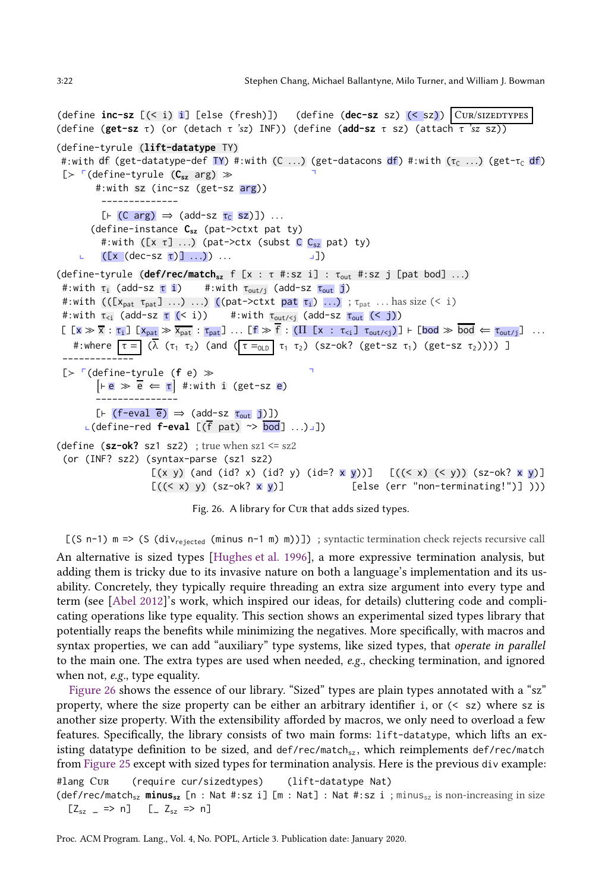```
(define inc-sz [(< i) i] [else (fresh)]) (define (dec-sz sz) (< sz)) Cur/sizedtypes
(define (get-sz τ) (or (detach τ 'sz) INF)) (define (add-sz τ sz) (attach τ 'sz sz))
(define-tyrule (lift-datatype TY)
 #:with df (get-datatype-def TY) #:with (C ...) (get-datacons df) #:with (τ<sub>c</sub> ...) (get-τ<sub>c</sub> df)
 [≻ p(define-tyrule (Csz arg) ≫ q
         #:with sz (inc-sz (get-sz arg))
              --------------
           [F (C arg) \Rightarrow (add-sz \tau_C ssz)]) ...
         (define-instance Csz (pat->ctxt pat ty)
           #:with ([x \tau] ...) (pat->ctx (subst C C_{sz} pat) ty)
           ([x (dec-sz \tau)] \dots) ...
(define-tyrule (def/rec/match<sub>sz</sub> f [x : τ #:sz i] : τ<sub>out</sub> #:sz j [pat bod] ...)
 #:with \tau_i (add-sz \tau i) #:with \tau_{\text{out/}j} (add-sz \tau_{\text{out}} j)
 #:with ((x_{\text{pat}} \tau_{\text{pat}}) \dots) \dots) ((\text{pat->ctxt} \tau_i) \dots); \tau_{\text{pat}} \dots has size (\leq i)#:with \tau_{\le i} (add-sz \tau (< i)) #:with \tau_{\text{out/sj}} (add-sz \tau_{\text{out}} (< j))
 \lbrack \lbrack x \gg \overline{x} : \tau_i \rbrack \lbrack x_{\text{pat}} \gg \overline{x}_{\text{pat}} : \tau_{\text{pat}} \rbrack ... \lbrack f \gg \overline{f} : (\Pi \lbrack x : \tau_{\leq i} \rbrack \tau_{\text{out}/\leq j}) \rbrack \vdash \lbrack \text{bod} \gg \overline{\text{bod}} \Leftarrow \tau_{\text{out}/i} \rbrack ...
    #:where \tau = (\lambda (\tau_1 \tau_2) (and (\tau =_{\text{OLD}} \tau_1 \tau_2) (sz-ok? (get-sz \tau_1) (get-sz \tau_2)))) ]
 ----------<del>---</del>
 [≻ p(define-tyrule (f e) ≫ q
          \overline{e} \Leftrightarrow \overline{e} \Leftarrow \overline{r} #:with i (get-sz e)
          ---------------
         [F (f-eval \overline{e}) \Rightarrow (add-sz \tau_{out} j)]L(define-red f-eval [(f pat) \sim \frac{b \cdot 0}{d}] ...)
(define (sz-ok? sz1 sz2); true when sz1 \leq sz2(or (INF? sz2) (syntax-parse (sz1 sz2)
                        [(x, y) (and (id? x) (id? y) (id=? x y))] [((& x) (& y)) (sz-ok? x y)][(\langle x\rangle y)(sz-ok? x y)] [else (err "non-terminating!")] )))
```
Fig. 26. A library for Cur that adds sized types.

[(S n-1) m => (S (div<sub>rejected</sub> (minus n-1 m) m))]) ; syntactic termination check rejects recursive call An alternative is sized types [\[Hughes et al. 1996\]](#page-28-8), a more expressive termination analysis, but adding them is tricky due to its invasive nature on both a language's implementation and its usability. Concretely, they typically require threading an extra size argument into every type and term (see [\[Abel 2012\]](#page-27-17)'s work, which inspired our ideas, for details) cluttering code and complicating operations like type equality. This section shows an experimental sized types library that potentially reaps the benefits while minimizing the negatives. More specifically, with macros and syntax properties, we can add "auxiliary" type systems, like sized types, that operate in parallel to the main one. The extra types are used when needed, e.g., checking termination, and ignored when not, e.g., type equality.

[Figure 26](#page-21-0) shows the essence of our library. "Sized" types are plain types annotated with a "sz" property, where the size property can be either an arbitrary identifier i, or (< sz) where sz is another size property. With the extensibility afforded by macros, we only need to overload a few features. Specifically, the library consists of two main forms: lift-datatype, which lifts an existing datatype definition to be sized, and def/rec/match<sub>sz</sub>, which reimplements def/rec/match from [Figure 25](#page-20-0) except with sized types for termination analysis. Here is the previous div example: #lang Cur (require cur/sizedtypes) (lift-datatype Nat)

(def/rec/matchsz **minussz** [n : Nat #:sz i] [m : Nat] : Nat #:sz i ; minussz is non-increasing in size  $[Z_{sz} = \implies n]$   $[-Z_{sz} \implies n]$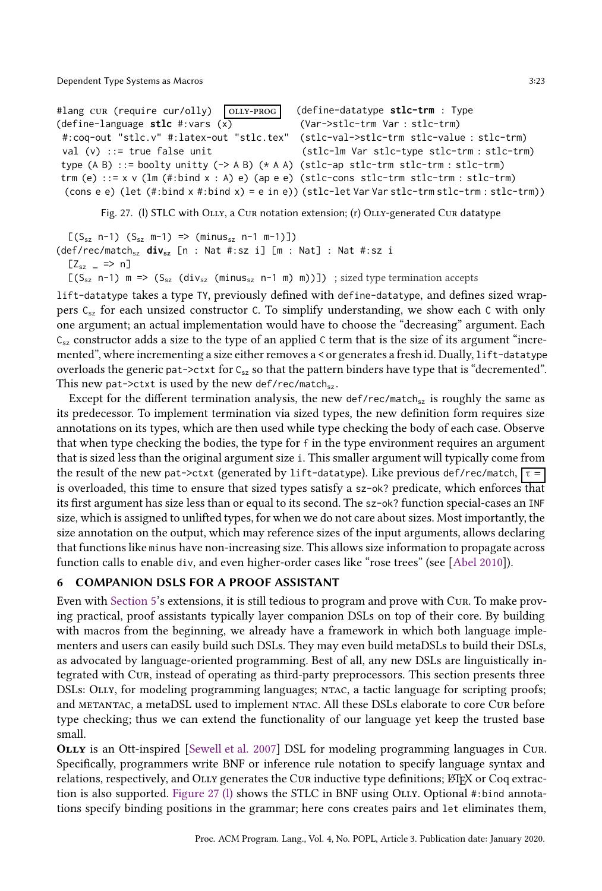<span id="page-22-0"></span>#lang cur (require cur/olly) OLLY-PROG (define-language **stlc** #:vars (x) #:coq-out "stlc.v" #:latex-out "stlc.tex" val  $(v)$  ::= true false unit type (A B) ::= boolty unitty (-> A B) (\* A A) (stlc-ap stlc-trm stlc-trm : stlc-trm) trm (e) ::= x v (lm (#:bind x : A) e) (ap e e) (stlc-cons stlc-trm stlc-trm : stlc-trm) (cons e e) (let (#:bind x #:bind x) = e in e)) (stlc-let Var Var stlc-trm stlc-trm : stlc-trm)) (define-datatype **stlc-trm** : Type (Var->stlc-trm Var : stlc-trm) (stlc-val->stlc-trm stlc-value : stlc-trm) (stlc-lm Var stlc-type stlc-trm : stlc-trm)

Fig. 27. (I) STLC with OLLY, a CUR notation extension; (r) OLLY-generated CUR datatype

 $[(S_{sz} n-1) (S_{sz} m-1) \Rightarrow (minus_{sz} n-1 m-1)]$ (def/rec/match<sub>sz</sub> **div**<sub>sz</sub> [n : Nat #:sz i] [m : Nat] : Nat #:sz i  $[Z_{sz} = \implies n]$ 

 $[(S_{sz} n-1) m \Rightarrow (S_{sz} (div_{sz} (minus_{sz} n-1 m) m))]$  ; sized type termination accepts

lift-datatype takes a type TY, previously defined with define-datatype, and defines sized wrappers  $C_{sz}$  for each unsized constructor C. To simplify understanding, we show each C with only one argument; an actual implementation would have to choose the "decreasing" argument. Each  $C_{sz}$  constructor adds a size to the type of an applied C term that is the size of its argument "incremented", where incrementing a size either removes a < or generates a fresh id. Dually, lift-datatype overloads the generic pat->ctxt for  $C_{sz}$  so that the pattern binders have type that is "decremented". This new pat->ctxt is used by the new def/rec/match $_{sz}$ .

Except for the different termination analysis, the new def/rec/match<sub>sz</sub> is roughly the same as its predecessor. To implement termination via sized types, the new definition form requires size annotations on its types, which are then used while type checking the body of each case. Observe that when type checking the bodies, the type for f in the type environment requires an argument that is sized less than the original argument size i. This smaller argument will typically come from the result of the new pat->ctxt (generated by lift-datatype). Like previous def/rec/match,  $\tau =$ is overloaded, this time to ensure that sized types satisfy a sz-ok? predicate, which enforces that its first argument has size less than or equal to its second. The sz-ok? function special-cases an INF size, which is assigned to unlifted types, for when we do not care about sizes. Most importantly, the size annotation on the output, which may reference sizes of the input arguments, allows declaring that functions like minus have non-increasing size. This allows size information to propagate across function calls to enable div, and even higher-order cases like "rose trees" (see [\[Abel 2010\]](#page-27-11)).

## 6 COMPANION DSLS FOR A PROOF ASSISTANT

Even with [Section 5'](#page-17-0)s extensions, it is still tedious to program and prove with Cur. To make proving practical, proof assistants typically layer companion DSLs on top of their core. By building with macros from the beginning, we already have a framework in which both language implementers and users can easily build such DSLs. They may even build metaDSLs to build their DSLs, as advocated by language-oriented programming. Best of all, any new DSLs are linguistically integrated with Cur, instead of operating as third-party preprocessors. This section presents three DSLs: OLLY, for modeling programming languages; NTAC, a tactic language for scripting proofs; and metantac, a metaDSL used to implement ntac. All these DSLs elaborate to core Cur before type checking; thus we can extend the functionality of our language yet keep the trusted base small.

OLLY is an Ott-inspired [\[Sewell et al. 2007\]](#page-28-7) DSL for modeling programming languages in Cur. Specifically, programmers write BNF or inference rule notation to specify language syntax and relations, respectively, and OLLY generates the CUR inductive type definitions; LATEX or Coq extrac-tion is also supported. [Figure 27 \(l\)](#page-22-0) shows the STLC in BNF using OLLY. Optional #:bind annotations specify binding positions in the grammar; here cons creates pairs and let eliminates them,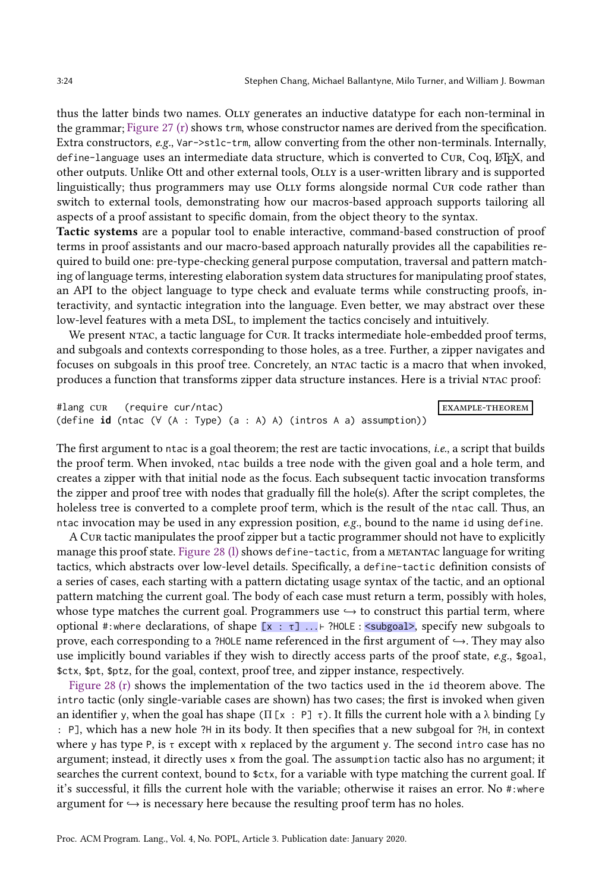thus the latter binds two names. Olly generates an inductive datatype for each non-terminal in the grammar; [Figure 27 \(r\)](#page-22-0) shows trm, whose constructor names are derived from the specification. Extra constructors, e.g., Var->stlc-trm, allow converting from the other non-terminals. Internally, define-language uses an intermediate data structure, which is converted to Cur, Coq, LTEX, and other outputs. Unlike Ott and other external tools, Olly is a user-written library and is supported linguistically; thus programmers may use OLLY forms alongside normal CUR code rather than switch to external tools, demonstrating how our macros-based approach supports tailoring all aspects of a proof assistant to specific domain, from the object theory to the syntax.

Tactic systems are a popular tool to enable interactive, command-based construction of proof terms in proof assistants and our macro-based approach naturally provides all the capabilities required to build one: pre-type-checking general purpose computation, traversal and pattern matching of language terms, interesting elaboration system data structures for manipulating proof states, an API to the object language to type check and evaluate terms while constructing proofs, interactivity, and syntactic integration into the language. Even better, we may abstract over these low-level features with a meta DSL, to implement the tactics concisely and intuitively.

We present NTAC, a tactic language for CUR. It tracks intermediate hole-embedded proof terms, and subgoals and contexts corresponding to those holes, as a tree. Further, a zipper navigates and focuses on subgoals in this proof tree. Concretely, an ntac tactic is a macro that when invoked, produces a function that transforms zipper data structure instances. Here is a trivial ntac proof:

```
#lang cur (require cur/ntac) example-theorem example-theorem example-theorem example-theorem example-
(define id (ntac (∀ (A : Type) (a : A) A) (intros A a) assumption))
```
The first argument to ntac is a goal theorem; the rest are tactic invocations, *i.e.*, a script that builds the proof term. When invoked, ntac builds a tree node with the given goal and a hole term, and creates a zipper with that initial node as the focus. Each subsequent tactic invocation transforms the zipper and proof tree with nodes that gradually fill the hole(s). After the script completes, the holeless tree is converted to a complete proof term, which is the result of the ntac call. Thus, an ntac invocation may be used in any expression position,  $e.g.,$  bound to the name id using define.

A Cur tactic manipulates the proof zipper but a tactic programmer should not have to explicitly manage this proof state. Figure 28 (1) shows define-tactic, from a METANTAC language for writing tactics, which abstracts over low-level details. Specifically, a define-tactic definition consists of a series of cases, each starting with a pattern dictating usage syntax of the tactic, and an optional pattern matching the current goal. The body of each case must return a term, possibly with holes, whose type matches the current goal. Programmers use  $\rightarrow$  to construct this partial term, where optional #:where declarations, of shape  $[x : \tau]$  ...  $\vdash$  ?HOLE : <subgoal>, specify new subgoals to prove, each corresponding to a ?HOLE name referenced in the first argument of  $\hookrightarrow$ . They may also use implicitly bound variables if they wish to directly access parts of the proof state, e.g., \$goal, \$ctx, \$pt, \$ptz, for the goal, context, proof tree, and zipper instance, respectively.

[Figure 28 \(r\)](#page-24-0) shows the implementation of the two tactics used in the id theorem above. The intro tactic (only single-variable cases are shown) has two cases; the first is invoked when given an identifier y, when the goal has shape ( $\Pi$  [x : P]  $\tau$ ). It fills the current hole with a  $\lambda$  binding [y : P], which has a new hole ?H in its body. It then specifies that a new subgoal for ?H, in context where y has type P, is  $\tau$  except with x replaced by the argument y. The second intro case has no argument; instead, it directly uses x from the goal. The assumption tactic also has no argument; it searches the current context, bound to \$ctx, for a variable with type matching the current goal. If it's successful, it fills the current hole with the variable; otherwise it raises an error. No #:where argument for  $\hookrightarrow$  is necessary here because the resulting proof term has no holes.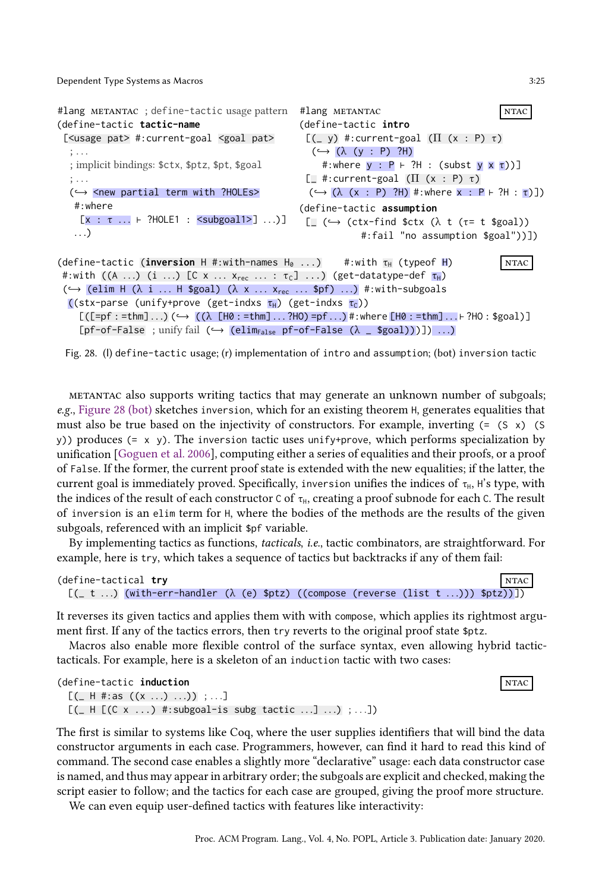```
#lang metantac ; define-tactic usage pattern
(define-tactic tactic-name
 [<usage pat> #:current-goal <goal pat>
  ; . . .
  ; implicit bindings: $ctx, $ptz, $pt, $goal
   ; . . .
  (\hookrightarrow <new partial term with ?HOLEs>
   #:where
     [x : \tau ... \vdash ?HOLE1 : <subgoal1>] ...)]
   . . .)
                                                       #lang METANTAC NTAC
                                                       (define-tactic intro
                                                        [(- y) #: current-goal (\Pi (x : P) \tau)(\hookrightarrow (\lambda \ (y : P) ? H)#:where y : P ⊢ ?H : (subst y x τ))]
                                                        [ #: current-goal (\Pi (x : P) τ)
                                                         (\hookrightarrow (\lambda (x : P) ?H) #:where x : P \vdash ?H : \tau)])
                                                       (define-tactic assumption
                                                         \Box (\hookrightarrow (ctx-find $ctx (\lambda t (\tau= t $goal))
                                                                     #:fail "no assumption $goal"))])
(define-tactic (inversion H #:with-names H<sub>0</sub> ...) #:with \tau_H (typeof H) NTAC
 #:with ((A \dots) (i \dots) [C \times \dots \times_{rec} \dots : \tau_C] \dots) (get-datatype-def \tau_H)
 (\hookrightarrow (elim H (\lambda i ... H $goal) (\lambda x ... x_{rec} ... $pf) ...) #:with-subgoals
  ((stx-parse (unify+prove (get-indxs \tau_H) (get-indxs \tau_C))
     [(\texttt{[=pf:=thm]...)(}\hookrightarrow ((\lambda \texttt{[H0:=thm]...?HO)=pf...)*:where \texttt{[H0:=thm]...+?HO}:\$goal)][pf-of-False ; unify fail (\rightarrow (elim<sub>False</sub> pf-of-False (\lambda = \{[goal])]]) ...)
```

```
Fig. 28. (l) define-tactic usage; (r) implementation of intro and assumption; (bot) inversion tactic
```
metantac also supports writing tactics that may generate an unknown number of subgoals; e.g., [Figure 28 \(bot\)](#page-24-0) sketches inversion, which for an existing theorem H, generates equalities that must also be true based on the injectivity of constructors. For example, inverting  $(=(S \times))$  (S y)) produces (= x y). The inversion tactic uses unify+prove, which performs specialization by unification [\[Goguen et al. 2006\]](#page-28-14), computing either a series of equalities and their proofs, or a proof of False. If the former, the current proof state is extended with the new equalities; if the latter, the current goal is immediately proved. Specifically, inversion unifies the indices of  $\tau_{H}$ , H's type, with the indices of the result of each constructor C of  $\tau_H$ , creating a proof subnode for each C. The result of inversion is an elim term for H, where the bodies of the methods are the results of the given subgoals, referenced with an implicit \$pf variable.

By implementing tactics as functions, tacticals, i.e., tactic combinators, are straightforward. For example, here is try, which takes a sequence of tactics but backtracks if any of them fail:

| <b>NTAC</b><br>(define-tactical try                                                                    |  |  |  |  |  |  |  |  |
|--------------------------------------------------------------------------------------------------------|--|--|--|--|--|--|--|--|
| $[(-t \dots)$ (with-err-handler ( $\lambda$ (e) \$ptz) ((compose (reverse (list $t \dots$ )) \$ptz))]) |  |  |  |  |  |  |  |  |

It reverses its given tactics and applies them with with compose, which applies its rightmost argument first. If any of the tactics errors, then try reverts to the original proof state \$ptz.

Macros also enable more flexible control of the surface syntax, even allowing hybrid tactictacticals. For example, here is a skeleton of an induction tactic with two cases:

```
(define-tactic induction ntack and \overline{N} ntack and \overline{N} ntack and \overline{N} ntack and \overline{N} ntack and \overline{N} ntack and \overline{N} ntack and \overline{N} ntack and \overline{N} ntack and \overline{N} ntack and \overline{N} ntack
    [(- \text{H} #: \text{as } ((x \dots) \dots)) ; ...][ ( [ ( [ (( x ...) * : subgoal-is subg tactic ...] ...) ; ...])
```
The first is similar to systems like Coq, where the user supplies identifiers that will bind the data constructor arguments in each case. Programmers, however, can find it hard to read this kind of command. The second case enables a slightly more "declarative" usage: each data constructor case is named, and thus may appear in arbitrary order; the subgoals are explicit and checked, making the script easier to follow; and the tactics for each case are grouped, giving the proof more structure.

We can even equip user-defined tactics with features like interactivity: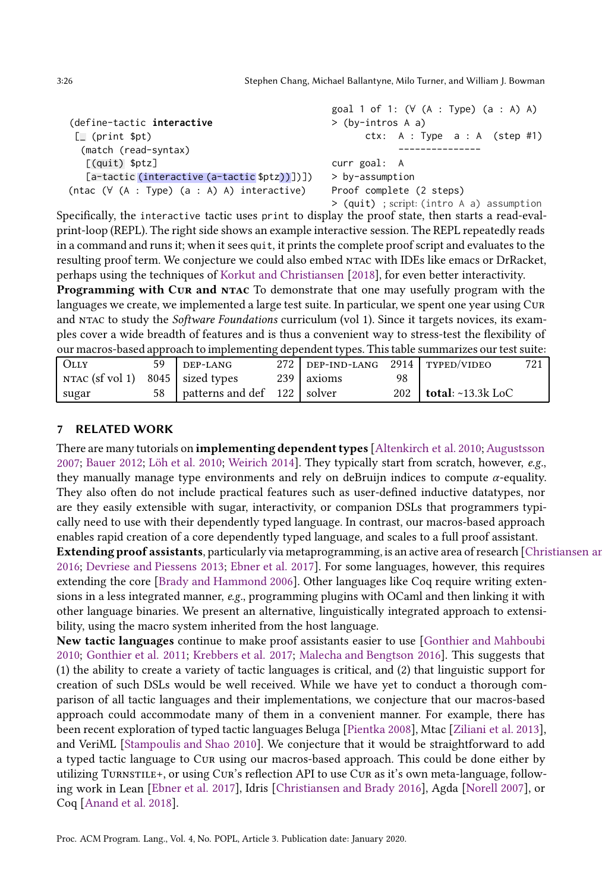|                                                     | goal 1 of 1: $(\forall (A : Type) (a : A) A)$ |  |  |  |  |  |  |
|-----------------------------------------------------|-----------------------------------------------|--|--|--|--|--|--|
| (define-tactic interactive                          | $>$ (by-intros A a)                           |  |  |  |  |  |  |
| $\Box$ (print \$pt)                                 | ctx: $A : Type a : A (step #1)$               |  |  |  |  |  |  |
| (match (read-syntax)                                |                                               |  |  |  |  |  |  |
| $[$ (quit) $$ptz]$                                  | curr goal: A                                  |  |  |  |  |  |  |
| [a-tactic (interactive (a-tactic \$ptz))])])        | $>$ by-assumption                             |  |  |  |  |  |  |
| (ntac $(\forall (A : Type) (a : A) A)$ interactive) | Proof complete (2 steps)                      |  |  |  |  |  |  |
|                                                     | > (quit) : script: (intro A a) assumption     |  |  |  |  |  |  |

Specifically, the interactive tactic uses print to display the proof state, then starts a read-evalprint-loop (REPL). The right side shows an example interactive session. The REPL repeatedly reads in a command and runs it; when it sees quit, it prints the complete proof script and evaluates to the resulting proof term. We conjecture we could also embed ntac with IDEs like emacs or DrRacket, perhaps using the techniques of [Korkut and Christiansen](#page-28-15) [\[2018\]](#page-28-15), for even better interactivity.

Programming with CUR and NTAC To demonstrate that one may usefully program with the languages we create, we implemented a large test suite. In particular, we spent one year using CUR and NTAC to study the Software Foundations curriculum (vol 1). Since it targets novices, its examples cover a wide breadth of features and is thus a convenient way to stress-test the flexibility of our macros-based approach to implementing dependent types. This table summarizes our test suite:

| <b>OLLY</b>                                 | 59 | DEP-LANG                       | 272 DEP-IND-LANG 2914 TYPED/VIDEO |    |                               |  |
|---------------------------------------------|----|--------------------------------|-----------------------------------|----|-------------------------------|--|
| NTAC $(sf \text{ vol } 1)$ 8045 sized types |    |                                | 239 axioms                        | 98 |                               |  |
| sugar                                       |    | 58 patterns and def 122 solver |                                   |    | 202   total: $\sim$ 13.3k LoC |  |

## 7 RELATED WORK

There are many tutorials on **implementing dependent types** [\[Altenkirch et al. 2010;](#page-27-18) [Augustsson](#page-27-19) [2007;](#page-27-19) [Bauer 2012;](#page-27-20) [Löh et al. 2010](#page-28-16); [Weirich 2014\]](#page-29-7). They typically start from scratch, however, e.g., they manually manage type environments and rely on deBruijn indices to compute  $\alpha$ -equality. They also often do not include practical features such as user-defined inductive datatypes, nor are they easily extensible with sugar, interactivity, or companion DSLs that programmers typically need to use with their dependently typed language. In contrast, our macros-based approach enables rapid creation of a core dependently typed language, and scales to a full proof assistant. Extending proof assistants, particularly via metaprogramming, is an active area of research [Christiansen and [2016;](#page-27-21) [Devriese and Piessens 2013;](#page-27-22) [Ebner et al. 2017\]](#page-27-23). For some languages, however, this requires extending the core [\[Brady and Hammond 2006\]](#page-27-24). Other languages like Coq require writing extensions in a less integrated manner, e.g., programming plugins with OCaml and then linking it with other language binaries. We present an alternative, linguistically integrated approach to extensibility, using the macro system inherited from the host language.

New tactic languages continue to make proof assistants easier to use [\[Gonthier and Mahboubi](#page-28-5) [2010;](#page-28-5) [Gonthier et al. 2011;](#page-28-17) [Krebbers et al. 2017](#page-28-18); [Malecha and Bengtson 2016\]](#page-28-19). This suggests that (1) the ability to create a variety of tactic languages is critical, and (2) that linguistic support for creation of such DSLs would be well received. While we have yet to conduct a thorough comparison of all tactic languages and their implementations, we conjecture that our macros-based approach could accommodate many of them in a convenient manner. For example, there has been recent exploration of typed tactic languages Beluga [\[Pientka 2008](#page-28-20)], Mtac [\[Ziliani et al. 2013\]](#page-29-4), and VeriML [\[Stampoulis and Shao 2010](#page-29-8)]. We conjecture that it would be straightforward to add a typed tactic language to Cur using our macros-based approach. This could be done either by utilizing Turnstile+, or using Cur's reflection API to use Cur as it's own meta-language, following work in Lean [\[Ebner et al. 2017\]](#page-27-23), Idris [\[Christiansen and Brady 2016](#page-27-21)], Agda [\[Norell 2007](#page-28-6)], or Coq [\[Anand et al. 2018\]](#page-27-25).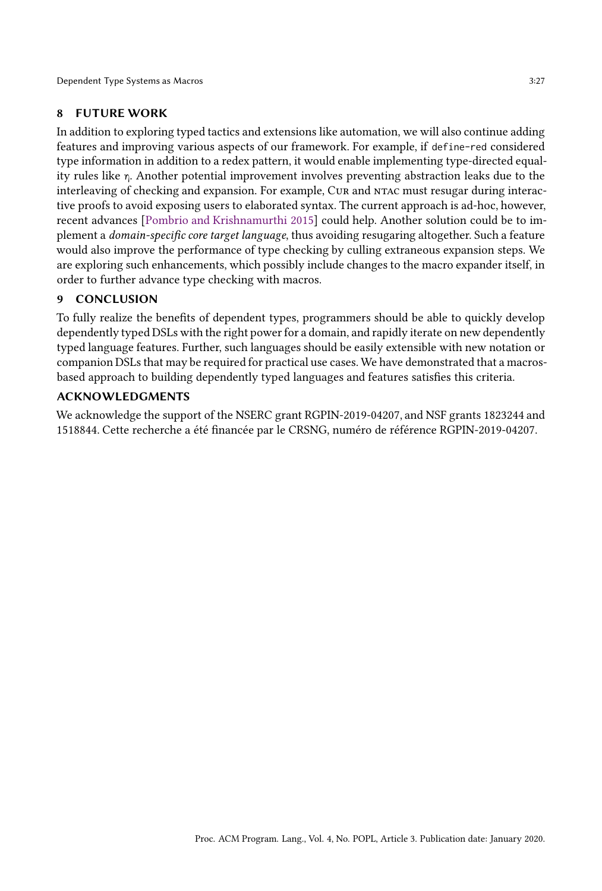# 8 FUTURE WORK

In addition to exploring typed tactics and extensions like automation, we will also continue adding features and improving various aspects of our framework. For example, if define-red considered type information in addition to a redex pattern, it would enable implementing type-directed equality rules like  $\eta$ . Another potential improvement involves preventing abstraction leaks due to the interleaving of checking and expansion. For example, Cur and NTAC must resugar during interactive proofs to avoid exposing users to elaborated syntax. The current approach is ad-hoc, however, recent advances [\[Pombrio and Krishnamurthi 2015\]](#page-28-21) could help. Another solution could be to implement a domain-specific core target language, thus avoiding resugaring altogether. Such a feature would also improve the performance of type checking by culling extraneous expansion steps. We are exploring such enhancements, which possibly include changes to the macro expander itself, in order to further advance type checking with macros.

# 9 CONCLUSION

To fully realize the benefits of dependent types, programmers should be able to quickly develop dependently typed DSLs with the right power for a domain, and rapidly iterate on new dependently typed language features. Further, such languages should be easily extensible with new notation or companion DSLs that may be required for practical use cases. We have demonstrated that a macrosbased approach to building dependently typed languages and features satisfies this criteria.

## ACKNOWLEDGMENTS

We acknowledge the support of the NSERC grant RGPIN-2019-04207, and NSF grants 1823244 and 1518844. Cette recherche a été financée par le CRSNG, numéro de référence RGPIN-2019-04207.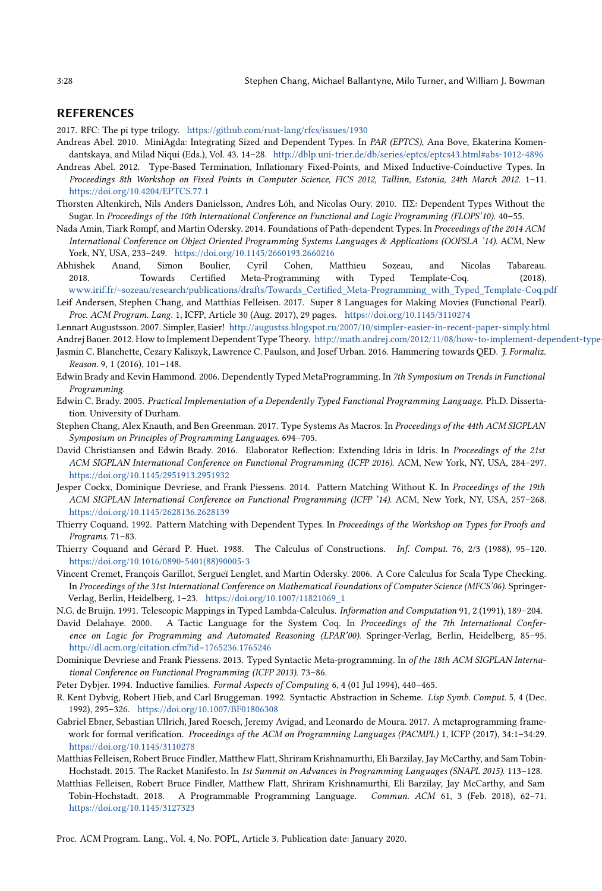### REFERENCES

<span id="page-27-2"></span>2017. RFC: The pi type trilogy. <https://github.com/rust-lang/rfcs/issues/1930>

- <span id="page-27-11"></span>Andreas Abel. 2010. MiniAgda: Integrating Sized and Dependent Types. In PAR (EPTCS), Ana Bove, Ekaterina Komendantskaya, and Milad Niqui (Eds.), Vol. 43. 14–28. <http://dblp.uni-trier.de/db/series/eptcs/eptcs43.html#abs-1012-4896>
- <span id="page-27-17"></span>Andreas Abel. 2012. Type-Based Termination, Inflationary Fixed-Points, and Mixed Inductive-Coinductive Types. In Proceedings 8th Workshop on Fixed Points in Computer Science, FICS 2012, Tallinn, Estonia, 24th March 2012. 1–11. <https://doi.org/10.4204/EPTCS.77.1>
- <span id="page-27-18"></span>Thorsten Altenkirch, Nils Anders Danielsson, Andres Löh, and Nicolas Oury. 2010. ΠΣ: Dependent Types Without the Sugar. In Proceedings of the 10th International Conference on Functional and Logic Programming (FLOPS'10). 40–55.
- <span id="page-27-0"></span>Nada Amin, Tiark Rompf, and Martin Odersky. 2014. Foundations of Path-dependent Types. In Proceedings of the 2014 ACM International Conference on Object Oriented Programming Systems Languages & Applications (OOPSLA '14). ACM, New York, NY, USA, 233–249. <https://doi.org/10.1145/2660193.2660216>
- <span id="page-27-25"></span>Abhishek Anand, Simon Boulier, Cyril Cohen, Matthieu Sozeau, and Nicolas Tabareau. 2018. Towards Certified Meta-Programming with Typed Template-Coq. (2018). [www.irif.fr/~sozeau/research/publications/drafts/Towards\\_Certified\\_Meta-Programming\\_with\\_Typed\\_Template-Coq.pdf](www.irif.fr/~sozeau/research/publications/drafts/Towards_Certified_Meta-Programming_with_Typed_Template-Coq.pdf)
- <span id="page-27-13"></span>Leif Andersen, Stephen Chang, and Matthias Felleisen. 2017. Super 8 Languages for Making Movies (Functional Pearl). Proc. ACM Program. Lang. 1, ICFP, Article 30 (Aug. 2017), 29 pages. <https://doi.org/10.1145/3110274>
- <span id="page-27-19"></span>Lennart Augustsson. 2007. Simpler, Easier! <http://augustss.blogspot.ru/2007/10/simpler-easier-in-recent-paper-simply.html>
- <span id="page-27-20"></span>Andrej Bauer. 2012. How to Implement Dependent Type Theory. http://math.andrej.com/2012/11/08/how-to-implement-dependent-type-
- <span id="page-27-5"></span>Jasmin C. Blanchette, Cezary Kaliszyk, Lawrence C. Paulson, and Josef Urban. 2016. Hammering towards QED. J. Formaliz. Reason. 9, 1 (2016), 101–148.
- <span id="page-27-24"></span>Edwin Brady and Kevin Hammond. 2006. Dependently Typed MetaProgramming. In 7th Symposium on Trends in Functional Programming.
- <span id="page-27-15"></span>Edwin C. Brady. 2005. Practical Implementation of a Dependently Typed Functional Programming Language. Ph.D. Dissertation. University of Durham.
- <span id="page-27-8"></span>Stephen Chang, Alex Knauth, and Ben Greenman. 2017. Type Systems As Macros. In Proceedings of the 44th ACM SIGPLAN Symposium on Principles of Programming Languages. 694–705.
- <span id="page-27-21"></span>David Christiansen and Edwin Brady. 2016. Elaborator Reflection: Extending Idris in Idris. In Proceedings of the 21st ACM SIGPLAN International Conference on Functional Programming (ICFP 2016). ACM, New York, NY, USA, 284–297. <https://doi.org/10.1145/2951913.2951932>
- <span id="page-27-16"></span>Jesper Cockx, Dominique Devriese, and Frank Piessens. 2014. Pattern Matching Without K. In Proceedings of the 19th ACM SIGPLAN International Conference on Functional Programming (ICFP '14). ACM, New York, NY, USA, 257–268. <https://doi.org/10.1145/2628136.2628139>
- <span id="page-27-7"></span>Thierry Coquand. 1992. Pattern Matching with Dependent Types. In Proceedings of the Workshop on Types for Proofs and Programs. 71–83.
- <span id="page-27-14"></span>Thierry Coquand and Gérard P. Huet. 1988. The Calculus of Constructions. Inf. Comput. 76, 2/3 (1988), 95–120. [https://doi.org/10.1016/0890-5401\(88\)90005-3](https://doi.org/10.1016/0890-5401(88)90005-3)
- <span id="page-27-1"></span>Vincent Cremet, François Garillot, Sergueï Lenglet, and Martin Odersky. 2006. A Core Calculus for Scala Type Checking. In Proceedings of the 31st International Conference on Mathematical Foundations of Computer Science (MFCS'06). Springer-Verlag, Berlin, Heidelberg, 1–23. [https://doi.org/10.1007/11821069\\_1](https://doi.org/10.1007/11821069_1)
- <span id="page-27-9"></span>N.G. de Bruijn. 1991. Telescopic Mappings in Typed Lambda-Calculus. Information and Computation 91, 2 (1991), 189–204.
- <span id="page-27-6"></span>David Delahaye. 2000. A Tactic Language for the System Coq. In Proceedings of the 7th International Conference on Logic for Programming and Automated Reasoning (LPAR'00). Springer-Verlag, Berlin, Heidelberg, 85–95. <http://dl.acm.org/citation.cfm?id=1765236.1765246>
- <span id="page-27-22"></span>Dominique Devriese and Frank Piessens. 2013. Typed Syntactic Meta-programming. In of the 18th ACM SIGPLAN International Conference on Functional Programming (ICFP 2013). 73–86.
- <span id="page-27-10"></span>Peter Dybjer. 1994. Inductive families. Formal Aspects of Computing 6, 4 (01 Jul 1994), 440–465.
- <span id="page-27-12"></span>R. Kent Dybvig, Robert Hieb, and Carl Bruggeman. 1992. Syntactic Abstraction in Scheme. Lisp Symb. Comput. 5, 4 (Dec. 1992), 295–326. <https://doi.org/10.1007/BF01806308>
- <span id="page-27-23"></span>Gabriel Ebner, Sebastian Ullrich, Jared Roesch, Jeremy Avigad, and Leonardo de Moura. 2017. A metaprogramming framework for formal verification. Proceedings of the ACM on Programming Languages (PACMPL) 1, ICFP (2017), 34:1–34:29. <https://doi.org/10.1145/3110278>
- <span id="page-27-3"></span>Matthias Felleisen, Robert Bruce Findler, Matthew Flatt, Shriram Krishnamurthi, Eli Barzilay, Jay McCarthy, and Sam Tobin-Hochstadt. 2015. The Racket Manifesto. In 1st Summit on Advances in Programming Languages (SNAPL 2015). 113–128.
- <span id="page-27-4"></span>Matthias Felleisen, Robert Bruce Findler, Matthew Flatt, Shriram Krishnamurthi, Eli Barzilay, Jay McCarthy, and Sam Tobin-Hochstadt. 2018. A Programmable Programming Language. Commun. ACM 61, 3 (Feb. 2018), 62–71. <https://doi.org/10.1145/3127323>

Proc. ACM Program. Lang., Vol. 4, No. POPL, Article 3. Publication date: January 2020.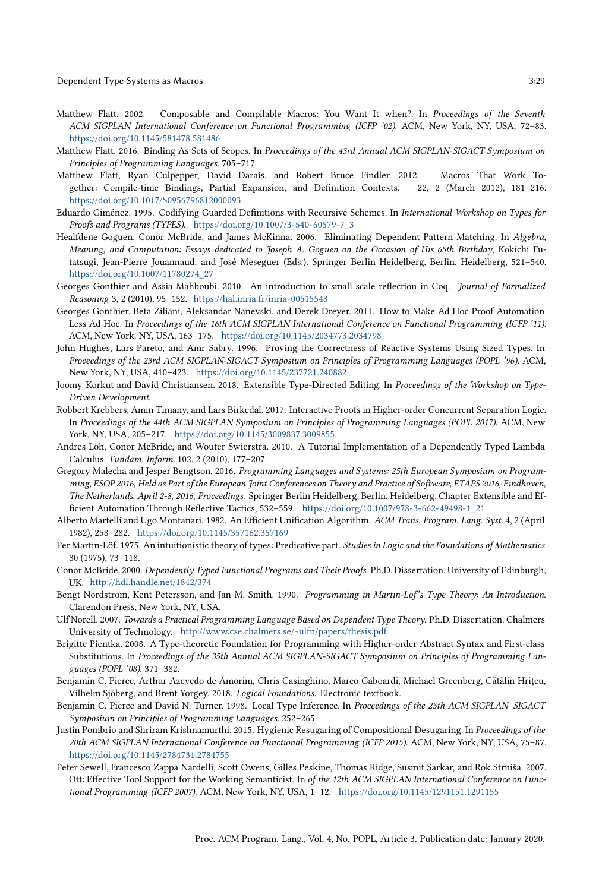- <span id="page-28-0"></span>Matthew Flatt. 2002. Composable and Compilable Macros: You Want It when?. In Proceedings of the Seventh ACM SIGPLAN International Conference on Functional Programming (ICFP '02). ACM, New York, NY, USA, 72–83. <https://doi.org/10.1145/581478.581486>
- <span id="page-28-1"></span>Matthew Flatt. 2016. Binding As Sets of Scopes. In Proceedings of the 43rd Annual ACM SIGPLAN-SIGACT Symposium on Principles of Programming Languages. 705–717.
- <span id="page-28-2"></span>Matthew Flatt, Ryan Culpepper, David Darais, and Robert Bruce Findler. 2012. Macros That Work Together: Compile-time Bindings, Partial Expansion, and Definition Contexts. 22, 2 (March 2012), 181–216. <https://doi.org/10.1017/S0956796812000093>
- <span id="page-28-4"></span>Eduardo Giménez. 1995. Codifying Guarded Definitions with Recursive Schemes. In International Workshop on Types for Proofs and Programs (TYPES). [https://doi.org/10.1007/3-540-60579-7\\_3](https://doi.org/10.1007/3-540-60579-7_3)
- <span id="page-28-14"></span>Healfdene Goguen, Conor McBride, and James McKinna. 2006. Eliminating Dependent Pattern Matching. In Algebra, Meaning, and Computation: Essays dedicated to Joseph A. Goguen on the Occasion of His 65th Birthday, Kokichi Futatsugi, Jean-Pierre Jouannaud, and José Meseguer (Eds.). Springer Berlin Heidelberg, Berlin, Heidelberg, 521–540. [https://doi.org/10.1007/11780274\\_27](https://doi.org/10.1007/11780274_27)
- <span id="page-28-5"></span>Georges Gonthier and Assia Mahboubi. 2010. An introduction to small scale reflection in Coq. Journal of Formalized Reasoning 3, 2 (2010), 95–152. <https://hal.inria.fr/inria-00515548>
- <span id="page-28-17"></span>Georges Gonthier, Beta Ziliani, Aleksandar Nanevski, and Derek Dreyer. 2011. How to Make Ad Hoc Proof Automation Less Ad Hoc. In Proceedings of the 16th ACM SIGPLAN International Conference on Functional Programming (ICFP '11). ACM, New York, NY, USA, 163–175. <https://doi.org/10.1145/2034773.2034798>
- <span id="page-28-8"></span>John Hughes, Lars Pareto, and Amr Sabry. 1996. Proving the Correctness of Reactive Systems Using Sized Types. In Proceedings of the 23rd ACM SIGPLAN-SIGACT Symposium on Principles of Programming Languages (POPL '96). ACM, New York, NY, USA, 410–423. <https://doi.org/10.1145/237721.240882>
- <span id="page-28-15"></span>Joomy Korkut and David Christiansen. 2018. Extensible Type-Directed Editing. In Proceedings of the Workshop on Type-Driven Development.
- <span id="page-28-18"></span>Robbert Krebbers, Amin Timany, and Lars Birkedal. 2017. Interactive Proofs in Higher-order Concurrent Separation Logic. In Proceedings of the 44th ACM SIGPLAN Symposium on Principles of Programming Languages (POPL 2017). ACM, New York, NY, USA, 205–217. <https://doi.org/10.1145/3009837.3009855>
- <span id="page-28-16"></span>Andres Löh, Conor McBride, and Wouter Swierstra. 2010. A Tutorial Implementation of a Dependently Typed Lambda Calculus. Fundam. Inform. 102, 2 (2010), 177–207.
- <span id="page-28-19"></span>Gregory Malecha and Jesper Bengtson. 2016. Programming Languages and Systems: 25th European Symposium on Programming, ESOP 2016, Held as Part of the European Joint Conferences on Theory and Practice of Software, ETAPS 2016, Eindhoven, The Netherlands, April 2-8, 2016, Proceedings. Springer Berlin Heidelberg, Berlin, Heidelberg, Chapter Extensible and Efficient Automation Through Reflective Tactics, 532–559. [https://doi.org/10.1007/978-3-662-49498-1\\_21](https://doi.org/10.1007/978-3-662-49498-1_21)
- <span id="page-28-13"></span>Alberto Martelli and Ugo Montanari. 1982. An Efficient Unification Algorithm. ACM Trans. Program. Lang. Syst. 4, 2 (April 1982), 258–282. <https://doi.org/10.1145/357162.357169>
- <span id="page-28-11"></span>Per Martin-Löf. 1975. An intuitionistic theory of types: Predicative part. Studies in Logic and the Foundations of Mathematics 80 (1975), 73–118.
- <span id="page-28-3"></span>Conor McBride. 2000. Dependently Typed Functional Programs and Their Proofs. Ph.D. Dissertation. University of Edinburgh, UK. <http://hdl.handle.net/1842/374>
- <span id="page-28-12"></span>Bengt Nordström, Kent Petersson, and Jan M. Smith. 1990. Programming in Martin-Löf's Type Theory: An Introduction. Clarendon Press, New York, NY, USA.
- <span id="page-28-6"></span>Ulf Norell. 2007. Towards a Practical Programming Language Based on Dependent Type Theory. Ph.D. Dissertation. Chalmers University of Technology. <http://www.cse.chalmers.se/~ulfn/papers/thesis.pdf>
- <span id="page-28-20"></span>Brigitte Pientka. 2008. A Type-theoretic Foundation for Programming with Higher-order Abstract Syntax and First-class Substitutions. In Proceedings of the 35th Annual ACM SIGPLAN-SIGACT Symposium on Principles of Programming Languages (POPL '08). 371–382.
- <span id="page-28-9"></span>Benjamin C. Pierce, Arthur Azevedo de Amorim, Chris Casinghino, Marco Gaboardi, Michael Greenberg, Cătălin Hrițcu, Vilhelm Sjöberg, and Brent Yorgey. 2018. Logical Foundations. Electronic textbook.
- <span id="page-28-10"></span>Benjamin C. Pierce and David N. Turner. 1998. Local Type Inference. In Proceedings of the 25th ACM SIGPLAN–SIGACT Symposium on Principles of Programming Languages. 252–265.
- <span id="page-28-21"></span>Justin Pombrio and Shriram Krishnamurthi. 2015. Hygienic Resugaring of Compositional Desugaring. In Proceedings of the 20th ACM SIGPLAN International Conference on Functional Programming (ICFP 2015). ACM, New York, NY, USA, 75–87. <https://doi.org/10.1145/2784731.2784755>
- <span id="page-28-7"></span>Peter Sewell, Francesco Zappa Nardelli, Scott Owens, Gilles Peskine, Thomas Ridge, Susmit Sarkar, and Rok Strniša. 2007. Ott: Effective Tool Support for the Working Semanticist. In of the 12th ACM SIGPLAN International Conference on Functional Programming (ICFP 2007). ACM, New York, NY, USA, 1–12. <https://doi.org/10.1145/1291151.1291155>